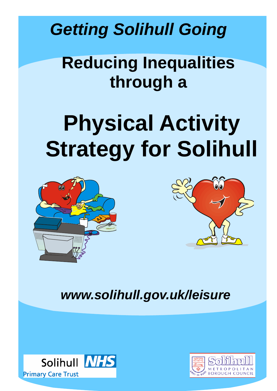*Getting Solihull Going* 

# **Reducing Inequalities through a**

# **Physical Activity Strategy for Solihull**





*www.solihull.gov.uk/leisure*



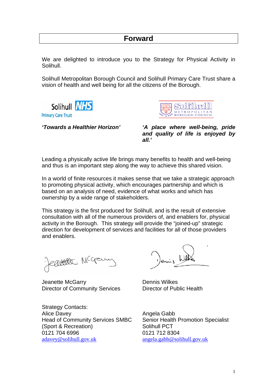# **Forward**

We are delighted to introduce you to the Strategy for Physical Activity in Solihull.

Solihull Metropolitan Borough Council and Solihull Primary Care Trust share a vision of health and well being for all the citizens of the Borough.



**Primary Care Trust** 



*'Towards a Healthier Horizon' 'A place where well-being, pride and quality of life is enjoyed by all.'* 

Leading a physically active life brings many benefits to health and well-being and thus is an important step along the way to achieve this shared vision.

In a world of finite resources it makes sense that we take a strategic approach to promoting physical activity, which encourages partnership and which is based on an analysis of need, evidence of what works and which has ownership by a wide range of stakeholders.

This strategy is the first produced for Solihull, and is the result of extensive consultation with all of the numerous providers of, and enablers for, physical activity in the Borough. This strategy will provide the "joined-up" strategic direction for development of services and facilities for all of those providers and enablers.

eactes Mcg

Jeanette McGarry **Dennis Wilkes** Director of Community Services Director of Public Health

Strategy Contacts: Alice Davey **Alice Davey Angela Gabb** Head of Community Services SMBC Senior Health Promotion Specialist (Sport & Recreation) Solihull PCT 0121 704 6996 0121 712 8304 adavey@solihull.gov.uk angela.gabb@solihull.gov.uk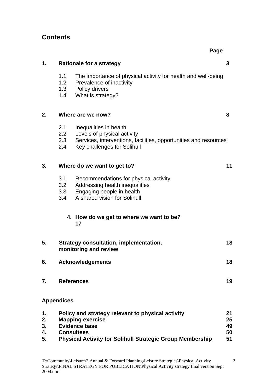# **Contents**

**Page 2016 Page 2016 Page 2016** 

| 1.                         | <b>Rationale for a strategy</b>                                                                                                                                                               | 3                          |
|----------------------------|-----------------------------------------------------------------------------------------------------------------------------------------------------------------------------------------------|----------------------------|
|                            | 1.1<br>The importance of physical activity for health and well-being<br>1.2<br>Prevalence of inactivity<br>1.3<br>Policy drivers<br>1.4<br>What is strategy?                                  |                            |
| 2.                         | Where are we now?                                                                                                                                                                             | 8                          |
|                            | 2.1<br>Inequalities in health<br>2.2<br>Levels of physical activity<br>2.3<br>Services, interventions, facilities, opportunities and resources<br>Key challenges for Solihull<br>2.4          |                            |
| 3.                         | Where do we want to get to?                                                                                                                                                                   | 11                         |
|                            | Recommendations for physical activity<br>3.1<br>3.2<br>Addressing health inequalities<br>3.3<br>Engaging people in health<br>A shared vision for Solihull<br>3.4                              |                            |
|                            | 4. How do we get to where we want to be?<br>17                                                                                                                                                |                            |
| 5.                         | Strategy consultation, implementation,<br>monitoring and review                                                                                                                               | 18                         |
| 6.                         | <b>Acknowledgements</b>                                                                                                                                                                       | 18                         |
| 7.                         | <b>References</b>                                                                                                                                                                             | 19                         |
|                            | <b>Appendices</b>                                                                                                                                                                             |                            |
| 1.<br>2.<br>3.<br>4.<br>5. | Policy and strategy relevant to physical activity<br><b>Mapping exercise</b><br><b>Evidence base</b><br><b>Consultees</b><br><b>Physical Activity for Solihull Strategic Group Membership</b> | 21<br>25<br>49<br>50<br>51 |

2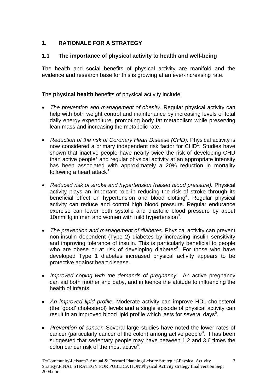# **1. RATIONALE FOR A STRATEGY**

## **1.1 The importance of physical activity to health and well-being**

The health and social benefits of physical activity are manifold and the evidence and research base for this is growing at an ever-increasing rate.

The **physical health** benefits of physical activity include:

- *The prevention and management of obesity*. Regular physical activity can help with both weight control and maintenance by increasing levels of total daily energy expenditure, promoting body fat metabolism while preserving lean mass and increasing the metabolic rate.
- *Reduction of the risk of Coronary Heart Disease (CHD).* Physical activity is now considered a primary independent risk factor for CHD<sup>1</sup>. Studies have shown that inactive people have nearly twice the risk of developing CHD than active people<sup>2</sup> and regular physical activity at an appropriate intensity has been associated with approximately a 20% reduction in mortality following a heart attack $3$ .
- *Reduced risk of stroke and hypertension (raised blood pressure).* Physical activity plays an important role in reducing the risk of stroke through its beneficial effect on hypertension and blood clotting<sup>4</sup>. Regular physical activity can reduce and control high blood pressure. Regular endurance exercise can lower both systolic and diastolic blood pressure by about 10 $mm$ Hg in men and women with mild hypertension<sup>3</sup>.
- *The prevention and management of diabetes.* Physical activity can prevent non-insulin dependent (Type 2) diabetes by increasing insulin sensitivity and improving tolerance of insulin. This is particularly beneficial to people who are obese or at risk of developing diabetes<sup>5</sup>. For those who have developed Type 1 diabetes increased physical activity appears to be protective against heart disease.
- *Improved coping with the demands of pregnancy*. An active pregnancy can aid both mother and baby, and influence the attitude to influencing the health of infants
- *An improved lipid profile.* Moderate activity can improve HDL-cholesterol (the 'good' cholesterol) levels and a single episode of physical activity can result in an improved blood lipid profile which lasts for several days<sup>5</sup>.
- *Prevention of cancer.* Several large studies have noted the lower rates of cancer (particularly cancer of the colon) among active people<sup>4</sup>. It has been suggested that sedentary people may have between 1.2 and 3.6 times the colon cancer risk of the most active<sup>6</sup>.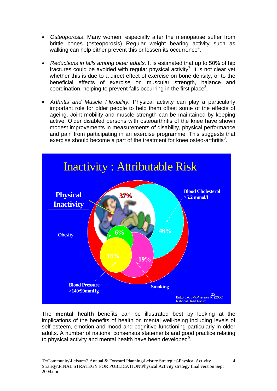- *Osteoporosis*. Many women, especially after the menopause suffer from brittle bones (osteoporosis) Regular weight bearing activity such as walking can help either prevent this or lessen its occurrence<sup>4</sup>.
- *Reductions in falls among older adults.* It is estimated that up to 50% of hip fractures could be avoided with regular physical activity<sup>7</sup>. It is not clear yet whether this is due to a direct effect of exercise on bone density, or to the beneficial effects of exercise on muscular strength, balance and coordination, helping to prevent falls occurring in the first place<sup>3</sup>.
- *Arthritis and Muscle Flexibility.* Physical activity can play a particularly important role for older people to help them offset some of the effects of ageing. Joint mobility and muscle strength can be maintained by keeping active. Older disabled persons with osteoarthritis of the knee have shown modest improvements in measurements of disability, physical performance and pain from participating in an exercise programme. This suggests that exercise should become a part of the treatment for knee osteo-arthritis<sup>8</sup>.



The **mental health** benefits can be illustrated best by looking at the implications of the benefits of health on mental well-being including levels of self esteem, emotion and mood and cognitive functioning particularly in older adults. A number of national consensus statements and good practice relating to physical activity and mental health have been developed $9$ .

4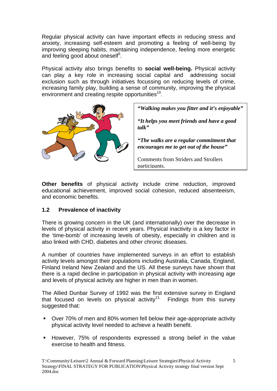Regular physical activity can have important effects in reducing stress and anxiety, increasing self-esteem and promoting a feeling of well-being by improving sleeping habits, maintaining independence, feeling more energetic and feeling good about oneself<sup>5</sup>.

Physical activity also brings benefits to **social well-being.** Physical activity can play a key role in increasing social capital and addressing social exclusion such as through initiatives focussing on reducing levels of crime, increasing family play, building a sense of community, improving the physical environment and creating respite opportunities<sup>10</sup>.



*"Walking makes you fitter and it's enjoyable"*

*"It helps you meet friends and have a good talk"* 

*"The walks are a regular commitment that encourages me to get out of the house"* 

Comments from Striders and Strollers participants.

**Other benefits** of physical activity include crime reduction, improved educational achievement, improved social cohesion, reduced absenteeism, and economic benefits.

## **1.2 Prevalence of inactivity**

There is growing concern in the UK (and internationally) over the decrease in levels of physical activity in recent years. Physical inactivity is a key factor in the 'time-bomb' of increasing levels of obesity, especially in children and is also linked with CHD, diabetes and other chronic diseases.

A number of countries have implemented surveys in an effort to establish activity levels amongst their populations including Australia, Canada, England, Finland Ireland New Zealand and the US. All these surveys have shown that there is a rapid decline in participation in physical activity with increasing age and levels of physical activity are higher in men than in women.

The Allied Dunbar Survey of 1992 was the first extensive survey in England that focused on levels on physical activity<sup>11.</sup> Findings from this survey suggested that:

- Over 70% of men and 80% women fell below their age-appropriate activity physical activity level needed to achieve a health benefit.
- However, 75% of respondents expressed a strong belief in the value exercise to health and fitness.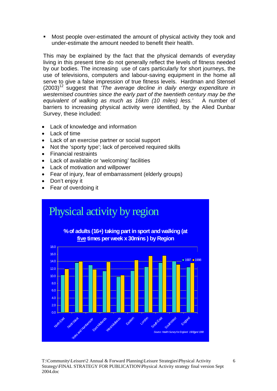Most people over-estimated the amount of physical activity they took and under-estimate the amount needed to benefit their health.

This may be explained by the fact that the physical demands of everyday living in this present time do not generally reflect the levels of fitness needed by our bodies. The increasing use of cars particularly for short journeys, the use of televisions, computers and labour-saving equipment in the home all serve to give a false impression of true fitness levels. Hardman and Stensel  $(2003)^{12}$  suggest that *'The average decline in daily energy expenditure in westernised countries since the early part of the twentieth century may be the equivalent of walking as much as 16km (10 miles) less.'* A number of barriers to increasing physical activity were identified, by the Alied Dunbar Survey, these included:

- Lack of knowledge and information
- Lack of time
- Lack of an exercise partner or social support
- Not the 'sporty type'; lack of perceived required skills
- Financial restraints
- Lack of available or 'welcoming' facilities
- Lack of motivation and willpower
- Fear of injury, fear of embarrassment (elderly groups)
- Don't enjoy it
- Fear of overdoing it

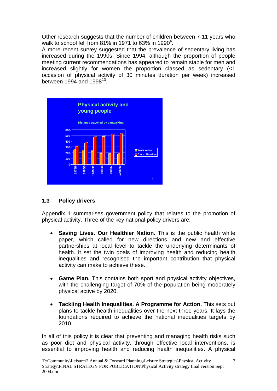Other research suggests that the number of children between 7-11 years who walk to school fell from 81% in 1971 to 63% in 1990<sup>4</sup>.

A more recent survey suggested that the prevalence of sedentary living has increased during the 1990s. Since 1994, although the proportion of people meeting current recommendations has appeared to remain stable for men and increased slightly for women the proportion classed as sedentary (<1 occasion of physical activity of 30 minutes duration per week) increased between 1994 and 1998 $^{13}$ .



## **1.3 Policy drivers**

Appendix 1 summarises government policy that relates to the promotion of physical activity. Three of the key national policy drivers are:

- **Saving Lives. Our Healthier Nation.** This is the public health white paper, which called for new directions and new and effective partnerships at local level to tackle the underlying determinants of health. It set the twin goals of improving health and reducing health inequalities and recognised the important contribution that physical activity can make to achieve these.
- **Game Plan.** This contains both sport and physical activity objectives, with the challenging target of 70% of the population being moderately physical active by 2020.
- **Tackling Health Inequalities. A Programme for Action.** This sets out plans to tackle health inequalities over the next three years. It lays the foundations required to achieve the national inequalities targets by 2010.

In all of this policy it is clear that preventing and managing health risks such as poor diet and physical activity, through effective local interventions, is essential to improving health and reducing health inequalities. A physical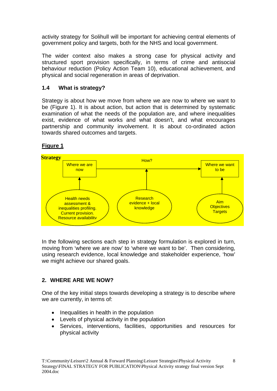activity strategy for Solihull will be important for achieving central elements of government policy and targets, both for the NHS and local government.

The wider context also makes a strong case for physical activity and structured sport provision specifically, in terms of crime and antisocial behaviour reduction (Policy Action Team 10), educational achievement, and physical and social regeneration in areas of deprivation.

# **1.4 What is strategy?**

Strategy is about how we move from where we are now to where we want to be (Figure 1). It is about action, but action that is determined by systematic examination of what the needs of the population are, and where inequalities exist, evidence of what works and what doesn't, and what encourages partnership and community involvement. It is about co-ordinated action towards shared outcomes and targets.

# **Figure 1**



In the following sections each step in strategy formulation is explored in turn, moving from 'where we are now' to 'where we want to be'. Then considering, using research evidence, local knowledge and stakeholder experience, 'how' we might achieve our shared goals.

# **2. WHERE ARE WE NOW?**

One of the key initial steps towards developing a strategy is to describe where we are currently, in terms of:

- Inequalities in health in the population
- Levels of physical activity in the population
- Services, interventions, facilities, opportunities and resources for physical activity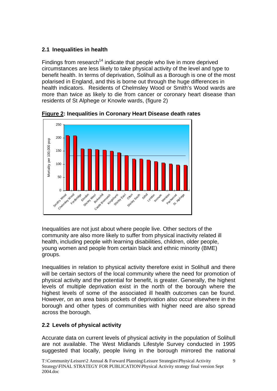# **2.1 Inequalities in health**

Findings from research<sup>14</sup> indicate that people who live in more deprived circumstances are less likely to take physical activity of the level and type to benefit health. In terms of deprivation, Solihull as a Borough is one of the most polarised in England, and this is borne out through the huge differences in health indicators. Residents of Chelmsley Wood or Smith's Wood wards are more than twice as likely to die from cancer or coronary heart disease than residents of St Alphege or Knowle wards, (figure 2)



**Figure 2: Inequalities in Coronary Heart Disease death rates** 

Inequalities are not just about where people live. Other sectors of the community are also more likely to suffer from physical inactivity related ill health, including people with learning disabilities, children, older people, young women and people from certain black and ethnic minority (BME) groups.

Inequalities in relation to physical activity therefore exist in Solihull and there will be certain sectors of the local community where the need for promotion of physical activity and the potential for benefit, is greater. Generally, the highest levels of multiple deprivation exist in the north of the borough where the highest levels of some of the associated ill health outcomes can be found. However, on an area basis pockets of deprivation also occur elsewhere in the borough and other types of communities with higher need are also spread across the borough.

# **2.2 Levels of physical activity**

Accurate data on current levels of physical activity in the population of Solihull are not available. The West Midlands Lifestyle Survey conducted in 1995 suggested that locally, people living in the borough mirrored the national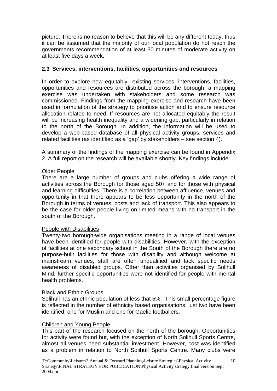picture. There is no reason to believe that this will be any different today, thus it can be assumed that the majority of our local population do not reach the governments recommendation of at least 30 minutes of moderate activity on at least five days a week.

#### **2.3 Services, interventions, facilities, opportunities and resources**

In order to explore how equitably existing services, interventions, facilities, opportunities and resources are distributed across the borough, a mapping exercise was undertaken with stakeholders and some research was commissioned. Findings from the mapping exercise and research have been used in formulation of the strategy to prioritise action and to ensure resource allocation relates to need. If resources are not allocated equitably the result will be increasing health inequality and a widening gap, particularly in relation to the north of the Borough. In addition, the information will be used to develop a web-based database of all physical activity groups, services and related facilities (as identified as a 'gap' by stakeholders – see section 4).

A summary of the findings of the mapping exercise can be found in Appendix 2. A full report on the research will be available shortly. Key findings include:

#### Older People

There are a large number of groups and clubs offering a wide range of activities across the Borough for those aged 50+ and for those with physical and learning difficulties. There is a correlation between affluence, venues and opportunity in that there appears to be less opportunity in the north of the Borough in terms of venues, costs and lack of transport. This also appears to be the case for older people living on limited means with no transport in the south of the Borough.

#### People with Disabilities

Twenty-two borough-wide organisations meeting in a range of local venues have been identified for people with disabilities. However, with the exception of facilities at one secondary school in the South of the Borough there are no purpose-built facilities for those with disability and although welcome at mainstream venues, staff are often unqualified and lack specific needs awareness of disabled groups. Other than activities organised by Solihull Mind, further specific opportunities were not identified for people with mental health problems.

#### Black and Ethnic Groups

Solihull has an ethnic population of less that 5%. This small percentage figure is reflected in the number of ethnicity based organisations, just two have been identified, one for Muslim and one for Gaelic footballers.

#### Children and Young People

This part of the research focused on the north of the borough. Opportunities for activity were found but, with the exception of North Solihull Sports Centre, almost all venues need substantial investment. However, cost was identified as a problem in relation to North Solihull Sports Centre. Many clubs were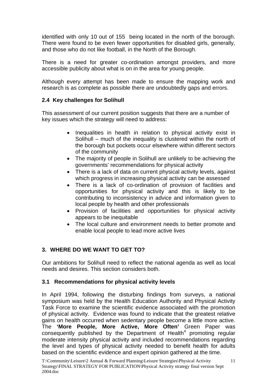identified with only 10 out of 155 being located in the north of the borough. There were found to be even fewer opportunities for disabled girls, generally, and those who do not like football, in the North of the Borough.

There is a need for greater co-ordination amongst providers, and more accessible publicity about what is on in the area for young people.

Although every attempt has been made to ensure the mapping work and research is as complete as possible there are undoubtedly gaps and errors.

## **2.4 Key challenges for Solihull**

This assessment of our current position suggests that there are a number of key issues which the strategy will need to address:

- Inequalities in health in relation to physical activity exist in Solihull – much of the inequality is clustered within the north of the borough but pockets occur elsewhere within different sectors of the community
- The majority of people in Solihull are unlikely to be achieving the governments' recommendations for physical activity
- There is a lack of data on current physical activity levels, against which progress in increasing physical activity can be assessed
- There is a lack of co-ordination of provision of facilities and opportunities for physical activity and this is likely to be contributing to inconsistency in advice and information given to local people by health and other professionals
- Provision of facilities and opportunities for physical activity appears to be inequitable
- The local culture and environment needs to better promote and enable local people to lead more active lives

## **3. WHERE DO WE WANT TO GET TO?**

Our ambitions for Solihull need to reflect the national agenda as well as local needs and desires. This section considers both.

## **3.1 Recommendations for physical activity levels**

In April 1994, following the disturbing findings from surveys, a national symposium was held by the Health Education Authority and Physical Activity Task Force to examine the scientific evidence associated with the promotion of physical activity. Evidence was found to indicate that the greatest relative gains on health occurred when sedentary people become a little more active. The **'More People, More Active, More Often'** Green Paper was consequently published by the Department of Health<sup>4</sup> promoting regular moderate intensity physical activity and included recommendations regarding the level and types of physical activity needed to benefit health for adults based on the scientific evidence and expert opinion gathered at the time.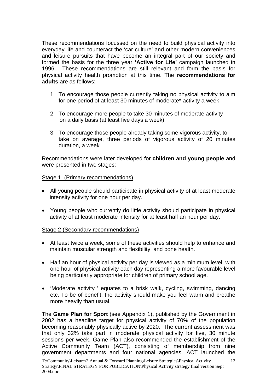These recommendations focussed on the need to build physical activity into everyday life and counteract the 'car culture' and other modern conveniences and leisure pursuits that have become an integral part of our society and formed the basis for the three year **'Active for Life'** campaign launched in 1996. These recommendations are still relevant and form the basis for physical activity health promotion at this time. The **recommendations for adults** are as follows:

- 1. To encourage those people currently taking no physical activity to aim for one period of at least 30 minutes of moderate\* activity a week
- 2. To encourage more people to take 30 minutes of moderate activity on a daily basis (at least five days a week)
- 3. To encourage those people already taking some vigorous activity, to take on average, three periods of vigorous activity of 20 minutes duration, a week

Recommendations were later developed for **children and young people** and were presented in two stages:

#### Stage 1 (Primary recommendations)

- All young people should participate in physical activity of at least moderate intensity activity for one hour per day.
- Young people who currently do little activity should participate in physical activity of at least moderate intensity for at least half an hour per day.

#### Stage 2 (Secondary recommendations)

- At least twice a week, some of these activities should help to enhance and maintain muscular strength and flexibility, and bone health.
- Half an hour of physical activity per day is viewed as a minimum level, with one hour of physical activity each day representing a more favourable level being particularly appropriate for children of primary school age.
- 'Moderate activity ' equates to a brisk walk, cycling, swimming, dancing etc. To be of benefit, the activity should make you feel warm and breathe more heavily than usual.

The **Game Plan for Sport** (see Appendix 1)**,** published by the Government in 2002 has a headline target for physical activity of 70% of the population becoming reasonably physically active by 2020. The current assessment was that only 32% take part in moderate physical activity for five, 30 minute sessions per week. Game Plan also recommended the establishment of the Active Community Team (ACT), consisting of membership from nine government departments and four national agencies. ACT launched the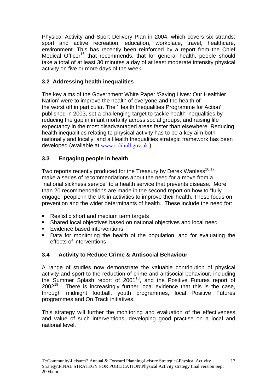Physical Activity and Sport Delivery Plan in 2004, which covers six strands: sport and active recreation, education, workplace, travel, healthcare, environment. This has recently been reinforced by a report from the Chief Medical Officer<sup>15</sup> that recommends, that for general health, people should take a total of at least 30 minutes a day of at least moderate intensity physical activity on five or more days of the week.

# **3.2 Addressing health inequalities**

The key aims of the Government White Paper 'Saving Lives: Our Healthier Nation' were to improve the health of everyone and the health of the worst off in particular. The 'Health Inequalities Programme for Action' published in 2003, set a challenging target to tackle health inequalities by reducing the gap in infant mortality across social groups, and raising life expectancy in the most disadvantaged areas faster than elsewhere. Reducing health inequalities relating to physical activity has to be a key aim both nationally and locally, and a Health Inequalities strategic framework has been developed (available at www.solihull.gov.uk ).

# **3.3 Engaging people in health**

Two reports recently produced for the Treasury by Derek Wanless<sup>16,17</sup> make a series of recommendations about the need for a move from a "national sickness service" to a health service that prevents disease. More than 20 recommendations are made in the second report on how to "fully engage" people in the UK in activities to improve their health. These focus on prevention and the wider determinants of health. These include the need for:

- Realistic short and medium term targets
- Shared local objectives based on national objectives and local need
- **Evidence based interventions**
- Data for monitoring the health of the population, and for evaluating the effects of interventions

# **3.4 Activity to Reduce Crime & Antisocial Behaviour**

A range of studies now demonstrate the valuable contribution of physical activity and sport to the reduction of crime and antisocial behaviour, including the Summer Splash report of 2001<sup>18</sup>, and the Positive Futures report of  $2002<sup>19</sup>$ . There is increasingly further local evidence that this is the case, through midnight football, youth programmes, local Positive Futures programmes and On Track initiatives.

This strategy will further the monitoring and evaluation of the effectiveness and value of such interventions, developing good practise on a local and national level.

13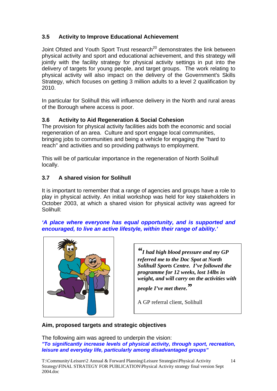# **3.5 Activity to Improve Educational Achievement**

Joint Ofsted and Youth Sport Trust research<sup>20</sup> demonstrates the link between physical activity and sport and educational achievement, and this strategy will jointly with the facility strategy for physical activity settings in put into the delivery of targets for young people, and target groups. The work relating to physical activity will also impact on the delivery of the Government's Skills Strategy, which focuses on getting 3 million adults to a level 2 qualification by 2010.

In particular for Solihull this will influence delivery in the North and rural areas of the Borough where access is poor.

# **3.6 Activity to Aid Regeneration & Social Cohesion**

The provision for physical activity facilities aids both the economic and social regeneration of an area. Culture and sport engage local communities, bringing jobs to communities and being a vehicle for engaging the "hard to reach" and activities and so providing pathways to employment.

This will be of particular importance in the regeneration of North Solihull locally.

# **3.7 A shared vision for Solihull**

It is important to remember that a range of agencies and groups have a role to play in physical activity. An initial workshop was held for key stakeholders in October 2003, at which a shared vision for physical activity was agreed for Solihull:

#### *'A place where everyone has equal opportunity, and is supported and encouraged, to live an active lifestyle, within their range of ability.'*



*"I had high blood pressure and my GP referred me to the Doc Spot at North Solihull Sports Centre. I've followed the programme for 12 weeks, lost 14lbs in weight, and will carry on the activities with* 

*people I've met there."*

A GP referral client, Solihull

## **Aim, proposed targets and strategic objectives**

The following aim was agreed to underpin the vision: *"To significantly increase levels of physical activity, through sport, recreation, leisure and everyday life, particularly among disadvantaged groups"*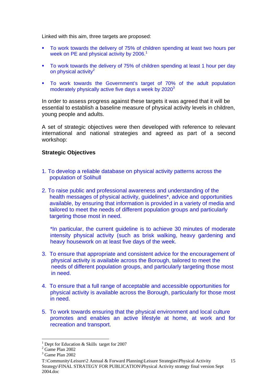Linked with this aim, three targets are proposed:

- To work towards the delivery of 75% of children spending at least two hours per week on PE and physical activity by 2006.<sup>1</sup>
- To work towards the delivery of 75% of children spending at least 1 hour per day on physical activity $2$
- To work towards the Government's target of 70% of the adult population moderately physically active five days a week by 2020<sup>3</sup>

In order to assess progress against these targets it was agreed that it will be essential to establish a baseline measure of physical activity levels in children, young people and adults.

A set of strategic objectives were then developed with reference to relevant international and national strategies and agreed as part of a second workshop:

#### **Strategic Objectives**

- 1. To develop a reliable database on physical activity patterns across the population of Solihull
- 2. To raise public and professional awareness and understanding of the health messages of physical activity, guidelines\*, advice and opportunities available, by ensuring that information is provided in a variety of media and tailored to meet the needs of different population groups and particularly targeting those most in need.

\*In particular, the current guideline is to achieve 30 minutes of moderate intensity physical activity (such as brisk walking, heavy gardening and heavy housework on at least five days of the week.

- 3. To ensure that appropriate and consistent advice for the encouragement of physical activity is available across the Borough, tailored to meet the needs of different population groups, and particularly targeting those most in need.
- 4. To ensure that a full range of acceptable and accessible opportunities for physical activity is available across the Borough, particularly for those most in need.
- 5. To work towards ensuring that the physical environment and local culture promotes and enables an active lifestyle at home, at work and for recreation and transport.

 $\overline{a}$ 

<sup>&</sup>lt;sup>1</sup> Dept for Education & Skills target for 2007

 $2^2$  Game Plan 2002

<sup>3</sup> Game Plan 2002

T:\Community\Leisure\2 Annual & Forward Planning\Leisure Strategies\Physical Activity Strategy\FINAL STRATEGY FOR PUBLICATION\Physical Activity strategy final version Sept 2004.doc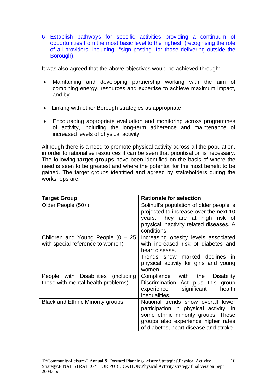6 Establish pathways for specific activities providing a continuum of opportunities from the most basic level to the highest, (recognising the role of all providers, including "sign posting" for those delivering outside the Borough).

It was also agreed that the above objectives would be achieved through:

- Maintaining and developing partnership working with the aim of combining energy, resources and expertise to achieve maximum impact, and by
- Linking with other Borough strategies as appropriate
- Encouraging appropriate evaluation and monitoring across programmes of activity, including the long-term adherence and maintenance of increased levels of physical activity.

Although there is a need to promote physical activity across all the population, in order to rationalise resources it can be seen that prioritisation is necessary. The following **target groups** have been identified on the basis of where the need is seen to be greatest and where the potential for the most benefit to be gained. The target groups identified and agreed by stakeholders during the workshops are:

| <b>Target Group</b>                                                       | <b>Rationale for selection</b>                                                                                                                                                                      |
|---------------------------------------------------------------------------|-----------------------------------------------------------------------------------------------------------------------------------------------------------------------------------------------------|
| Older People (50+)                                                        | Solihull's population of older people is<br>projected to increase over the next 10<br>years. They are at high risk of<br>physical inactivity related diseases, &<br>conditions                      |
| Children and Young People $(0 - 25)$<br>with special reference to women)  | Increasing obesity levels associated<br>with increased risk of diabetes and<br>heart disease.<br>Trends show marked declines in<br>physical activity for girls and young<br>women.                  |
| People with Disabilities (including<br>those with mental health problems) | Compliance with the<br><b>Disability</b><br>Discrimination Act plus this group<br>experience significant<br>health<br>inequalities.                                                                 |
| <b>Black and Ethnic Minority groups</b>                                   | National trends show overall lower<br>participation in physical activity, in<br>some ethnic minority groups. These<br>groups also experience higher rates<br>of diabetes, heart disease and stroke. |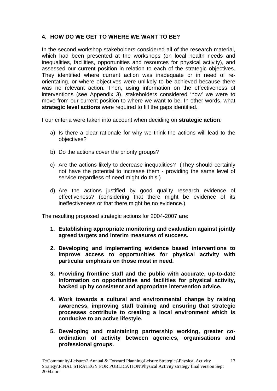# **4. HOW DO WE GET TO WHERE WE WANT TO BE?**

In the second workshop stakeholders considered all of the research material, which had been presented at the workshops (on local health needs and inequalities, facilities, opportunities and resources for physical activity), and assessed our current position in relation to each of the strategic objectives. They identified where current action was inadequate or in need of reorientating, or where objectives were unlikely to be achieved because there was no relevant action. Then, using information on the effectiveness of interventions (see Appendix 3), stakeholders considered 'how' we were to move from our current position to where we want to be. In other words, what **strategic level actions** were required to fill the gaps identified.

Four criteria were taken into account when deciding on **strategic action**:

- a) Is there a clear rationale for why we think the actions will lead to the objectives?
- b) Do the actions cover the priority groups?
- c) Are the actions likely to decrease inequalities? (They should certainly not have the potential to increase them - providing the same level of service regardless of need might do this.)
- d) Are the actions justified by good quality research evidence of effectiveness? (considering that there might be evidence of its ineffectiveness or that there might be no evidence.)

The resulting proposed strategic actions for 2004-2007 are:

- **1. Establishing appropriate monitoring and evaluation against jointly agreed targets and interim measures of success.**
- **2. Developing and implementing evidence based interventions to improve access to opportunities for physical activity with particular emphasis on those most in need.**
- **3. Providing frontline staff and the public with accurate, up-to-date information on opportunities and facilities for physical activity, backed up by consistent and appropriate intervention advice.**
- **4. Work towards a cultural and environmental change by raising awareness, improving staff training and ensuring that strategic processes contribute to creating a local environment which is conducive to an active lifestyle.**
- **5. Developing and maintaining partnership working, greater coordination of activity between agencies, organisations and professional groups.**

17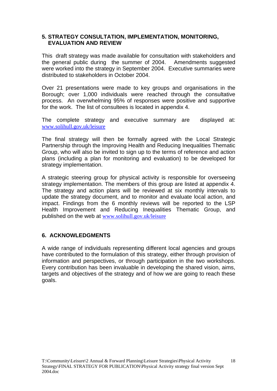#### **5. STRATEGY CONSULTATION, IMPLEMENTATION, MONITORING, EVALUATION AND REVIEW**

This draft strategy was made available for consultation with stakeholders and the general public during the summer of 2004. Amendments suggested were worked into the strategy in September 2004. Executive summaries were distributed to stakeholders in October 2004.

Over 21 presentations were made to key groups and organisations in the Borough; over 1,000 individuals were reached through the consultative process. An overwhelming 95% of responses were positive and supportive for the work. The list of consultees is located in appendix 4.

The complete strategy and executive summary are displayed at: www.solihull.gov.uk/leisure

The final strategy will then be formally agreed with the Local Strategic Partnership through the Improving Health and Reducing Inequalities Thematic Group, who will also be invited to sign up to the terms of reference and action plans (including a plan for monitoring and evaluation) to be developed for strategy implementation.

A strategic steering group for physical activity is responsible for overseeing strategy implementation. The members of this group are listed at appendix 4. The strategy and action plans will be reviewed at six monthly intervals to update the strategy document, and to monitor and evaluate local action, and impact. Findings from the 6 monthly reviews will be reported to the LSP Health Improvement and Reducing Inequalities Thematic Group, and published on the web at www.solihull.gov.uk/leisure

## **6. ACKNOWLEDGMENTS**

A wide range of individuals representing different local agencies and groups have contributed to the formulation of this strategy, either through provision of information and perspectives, or through participation in the two workshops. Every contribution has been invaluable in developing the shared vision, aims, targets and objectives of the strategy and of how we are going to reach these goals.

18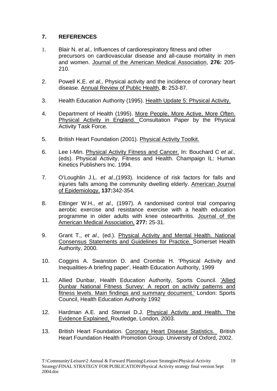# **7. REFERENCES**

- 1. Blair N. *et al.,* Influences of cardiorespiratory fitness and other precursors on cardiovascular disease and all-cause mortality in men and women. Journal of the American Medical Association, **276:** 205- 210.
- 2. Powell K.E. *et al.,* Physical activity and the incidence of coronary heart disease. Annual Review of Public Health, **8:** 253-87.
- 3. Health Education Authority (1995). Health Update 5: Physical Activity.
- 4. Department of Health (1995). More People, More Active, More Often. Physical Activity in England. Consultation Paper by the Physical Activity Task Force.
- 5. British Heart Foundation (2001). Physical Activity Toolkit.
- 6. Lee I-Min. Physical Activity Fitness and Cancer. In: Bouchard C *et al.,* (eds). Physical Activity, Fitness and Health. Champaign IL: Human Kinetics Publishers Inc. 1994.
- 7. O'Loughlin J.L. *et al.,*(1993). Incidence of risk factors for falls and injuries falls among the community dwelling elderly. American Journal of Epidemiology, **137:**342-354.
- 8. Ettinger W.H., *et al.,* (1997). A randomised control trial comparing aerobic exercise and resistance exercise with a health education programme in older adults with knee osteoarthritis. Journal of the American Medical Association, **277:** 25-31.
- 9. Grant T., *et al.,* (ed.). Physical Activity and Mental Health. National Consensus Statements and Guidelines for Practice. Somerset Health Authority, 2000.
- 10. Coggins A. Swanston D. and Crombie H. 'Physical Activity and Inequalities-A briefing paper', Health Education Authority, 1999
- 11. Allied Dunbar, Health Education Authority, Sports Council. 'Allied Dunbar National Fitness Survey: A report on activity patterns and fitness levels. Main findings and summary document.' London: Sports Council, Health Education Authority 1992
- 12. Hardman A.E. and Stensel D.J. Physical Activity and Health. The Evidence Explained, Routledge, London, 2003.
- 13. British Heart Foundation. Coronary Heart Disease Statistics. British Heart Foundation Health Promotion Group. University of Oxford, 2002.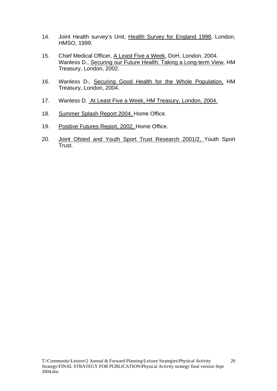- 14. Joint Health survey's Unit, Health Survey for England 1998, London, HMSO, 1999.
- 15. Chief Medical Officer, A Least Five a Week, DoH, London, 2004. Wanless D., Securing our Future Health: Taking a Long-term View, HM Treasury, London, 2002.
- 16. Wanless D., Securing Good Health for the Whole Population, HM Treasury, London, 2004.
- 17. Wanless D. At Least Five a Week, HM Treasury, London, 2004.
- 18. Summer Splash Report 2004, Home Office.
- 19. Positive Futures Report, 2002, Home Office.
- 20. Joint Ofsted and Youth Sport Trust Research 2001/2, Youth Sport Trust.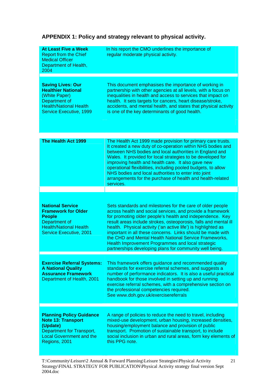| <b>At Least Five a Week</b><br><b>Report from the Chief</b><br><b>Medical Officer</b><br>Department of Health,<br>2004                                           | In his report the CMO underlines the importance of<br>regular moderate physical activity.                                                                                                                                                                                                                                                                                                                                                                                                                                                                           |
|------------------------------------------------------------------------------------------------------------------------------------------------------------------|---------------------------------------------------------------------------------------------------------------------------------------------------------------------------------------------------------------------------------------------------------------------------------------------------------------------------------------------------------------------------------------------------------------------------------------------------------------------------------------------------------------------------------------------------------------------|
| <b>Saving Lives: Our</b><br><b>Healthier National</b><br>(White Paper)<br>Department of<br><b>Health/National Health</b><br><b>Service Executive, 1999</b>       | This document emphasises the importance of working in<br>partnership with other agencies at all levels, with a focus on<br>inequalities in health and access to services that impact on<br>health. It sets targets for cancers, heart disease/stroke,<br>accidents, and mental health, and states that physical activity<br>is one of the key determinants of good health.                                                                                                                                                                                          |
| The Health Act 1999                                                                                                                                              | The Health Act 1999 made provision for primary care trusts.<br>It created a new duty of co-operation within NHS bodies and<br>between NHS bodies and local authorities in England and<br>Wales. It provided for local strategies to be developed for<br>improving health and health care. It also gave new<br>operational flexibilities, including pooled budgets, to allow<br>NHS bodies and local authorities to enter into joint<br>arrangements for the purchase of health and health-related<br>services.                                                      |
|                                                                                                                                                                  |                                                                                                                                                                                                                                                                                                                                                                                                                                                                                                                                                                     |
| <b>National Service</b><br><b>Framework for Older</b><br><b>People</b><br>Department of<br><b>Health/National Health</b><br><b>Service Executive, 2001</b>       | Sets standards and milestones for the care of older people<br>across health and social services, and provide a framework<br>for promoting older people's health and independence. Key<br>result areas include strokes, osteoporosis, falls and mental ill<br>health. Physical activity ('an active life') is highlighted as<br>important in all these concerns. Links should be made with<br>the CHD and Mental Health National Service Frameworks,<br>Health Improvement Programmes and local strategic<br>partnerships developing plans for community well being. |
| <b>Exercise Referral Systems:</b><br><b>A National Quality</b><br><b>Assurance Framework</b><br>Department of Health, 2001                                       | This framework offers guidance and recommended quality<br>standards for exercise referral schemes, and suggests a<br>number of performance indicators. It is also a useful practical<br>handbook for those involved in setting up and running<br>exercise referral schemes, with a comprehensive section on<br>the professional competencies required.<br>See www.doh.gov.uk/exercisereferrals                                                                                                                                                                      |
|                                                                                                                                                                  |                                                                                                                                                                                                                                                                                                                                                                                                                                                                                                                                                                     |
| <b>Planning Policy Guidance</b><br><b>Note 13: Transport</b><br>(Update)<br><b>Department for Transport,</b><br><b>Local Government and the</b><br>Regions, 2001 | A range of policies to reduce the need to travel, including<br>mixed-use development, urban housing, increased densities,<br>housing/employment balance and provision of public<br>transport. Promotion of sustainable transport, to include<br>social inclusion in urban and rural areas, form key elements of<br>this PPG note.                                                                                                                                                                                                                                   |

# **APPENDIX 1: Policy and strategy relevant to physical activity.**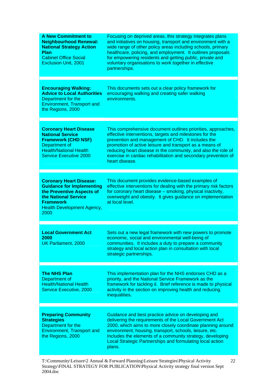| <b>A New Commitment to</b><br><b>Neighbourhood Renewal:</b><br><b>National Strategy Action</b><br>Plan<br><b>Cabinet Office Social</b><br><b>Exclusion Unit, 2001</b>                    | Focusing on deprived areas, this strategy integrates plans<br>and initiatives on housing, transport and environment with a<br>wide range of other policy areas including schools, primary<br>healthcare, policing, and employment. It outlines proposals<br>for empowering residents and getting public, private and<br>voluntary organisations to work together in effective<br>partnerships. |
|------------------------------------------------------------------------------------------------------------------------------------------------------------------------------------------|------------------------------------------------------------------------------------------------------------------------------------------------------------------------------------------------------------------------------------------------------------------------------------------------------------------------------------------------------------------------------------------------|
| <b>Encouraging Walking:</b><br><b>Advice to Local Authorities</b><br>Department for the<br><b>Environment, Transport and</b><br>the Regions, 2000                                        | This documents sets out a clear policy framework for<br>encouraging walking and creating safer walking<br>environments.                                                                                                                                                                                                                                                                        |
| <b>Coronary Heart Disease</b><br><b>National Service</b><br><b>Framework (CHD NSF)</b><br>Department of<br><b>Health/National Health</b><br><b>Service Executive 2000</b>                | This comprehensive document outlines priorities, approaches,<br>effective interventions, targets and milestones for the<br>prevention and management of CHD. It includes the<br>promotion of active leisure and transport as a means of<br>reducing heart disease in the community, and also the role of<br>exercise in cardiac rehabilitation and secondary prevention of<br>heart disease.   |
| <b>Coronary Heart Disease:</b><br><b>Guidance for Implementing</b><br>the Preventive Aspects of<br>the National Service<br><b>Framework</b><br><b>Health Development Agency,</b><br>2000 | This document provides evidence-based examples of<br>effective interventions for dealing with the primary risk factors<br>for coronary heart disease - smoking, physical inactivity,<br>overweight and obesity. It gives guidance on implementation<br>at local level.                                                                                                                         |
| <b>Local Government Act</b><br>2000<br><b>UK Parliament, 2000</b>                                                                                                                        | Sets out a new legal framework with new powers to promote<br>economic, social and environmental well-being of<br>communities. It includes a duty to prepare a community<br>strategy and local action plan in consultation with local<br>strategic partnerships.                                                                                                                                |
| <b>The NHS Plan</b><br>Department of<br><b>Health/National Health</b><br>Service Executive, 2000                                                                                         | This implementation plan for the NHS endorses CHD as a<br>priority, and the National Service Framework as the<br>framework for tackling it. Brief reference is made to physical<br>activity in the section on improving health and reducing<br>inequalities.                                                                                                                                   |
| <b>Preparing Community</b><br><b>Strategies</b><br>Department for the<br><b>Environment, Transport and</b><br>the Regions, 2000                                                          | Guidance and best practice advice on developing and<br>delivering the requirements of the Local Government Act<br>2000, which aims to more closely coordinate planning around<br>environment, housing, transport, schools, leisure, etc.<br>Includes the elements of a community strategy, developing<br><b>Local Strategic Partnerships and formulating local action</b><br>plans.            |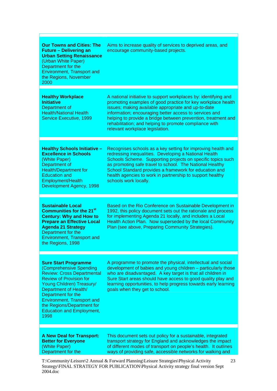| <b>Our Towns and Cities: The</b><br><b>Future - Delivering an</b><br><b>Urban Setting Renaissance</b><br>(Urban White Paper)<br>Department for the<br><b>Environment, Transport and</b><br>the Regions, November<br>2000                                                                                                 | Aims to increase quality of services to deprived areas, and<br>encourage community-based projects.                                                                                                                                                                                                                                                                                                             |
|--------------------------------------------------------------------------------------------------------------------------------------------------------------------------------------------------------------------------------------------------------------------------------------------------------------------------|----------------------------------------------------------------------------------------------------------------------------------------------------------------------------------------------------------------------------------------------------------------------------------------------------------------------------------------------------------------------------------------------------------------|
| <b>Healthy Workplace</b><br><b>Initiative</b><br>Department of<br><b>Health/National Health</b><br><b>Service Executive, 1999</b>                                                                                                                                                                                        | A national initiative to support workplaces by: identifying and<br>promoting examples of good practice for key workplace health<br>issues; making available appropriate and up-to-date<br>information; encouraging better access to services and<br>helping to provide a bridge between prevention, treatment and<br>rehabilitation; and helping to promote compliance with<br>relevant workplace legislation. |
| <b>Healthy Schools Initiative -</b><br><b>Excellence in Schools</b><br>(White Paper)<br>Department of<br><b>Health/Department for</b><br><b>Education and</b><br>Employment/Health<br>Development Agency, 1998                                                                                                           | Recognises schools as a key setting for improving health and<br>redressing inequalities. Developing a National Health<br>Schools Scheme. Supporting projects on specific topics such<br>as promoting safe travel to school. The National Healthy<br>School Standard provides a framework for education and<br>health agencies to work in partnership to support healthy<br>schools work locally.               |
| <b>Sustainable Local</b><br><b>Communities for the 21st</b><br><b>Century: Why and How to</b><br><b>Prepare an Effective Local</b><br><b>Agenda 21 Strategy</b><br>Department for the<br><b>Environment, Transport and</b><br>the Regions, 1998                                                                          | Based on the Rio Conference on Sustainable Development in<br>1992, this policy document sets out the rationale and process<br>for implementing Agenda 21 locally, and includes a Local<br>Health Action Plan. Now superseded by the local Community<br>Plan (see above, Preparing Community Strategies).                                                                                                       |
| <b>Sure Start Programme</b><br>(Comprehensive Spending<br><b>Review: Cross Departmental</b><br><b>Review of Provision for</b><br>Young Children) Treasury/<br>Department of Health/<br>Department for the<br><b>Environment, Transport and</b><br>the Regions/Department for<br><b>Education and Employment,</b><br>1998 | A programme to promote the physical, intellectual and social<br>development of babies and young children - particularly those<br>who are disadvantaged. A key target is that all children in<br>Sure Start areas should have access to good quality play and<br>learning opportunities, to help progress towards early learning<br>goals when they get to school.                                              |
| <b>A New Deal for Transport:</b><br><b>Better for Everyone</b><br>(White Paper)<br>Department for the                                                                                                                                                                                                                    | This document sets out policy for a sustainable, integrated<br>transport strategy for England and acknowledges the impact<br>of different modes of transport on people's health. It outlines<br>ways of providing safe, accessible networks for walking and<br>$T \setminus \text{Commutiv}$ equivalent $\ell$ Annual $\ell$ Forward Planning I equivalent Strategies Physical Activity<br>23                  |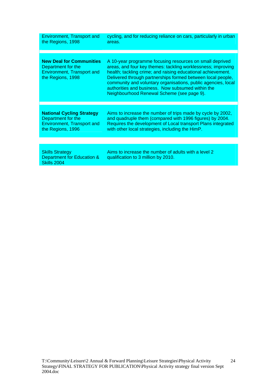| <b>Environment, Transport and</b><br>the Regions, 1998                                                           | cycling, and for reducing reliance on cars, particularly in urban<br>areas.                                                                                                                                                                                                                                                                                                                                                 |
|------------------------------------------------------------------------------------------------------------------|-----------------------------------------------------------------------------------------------------------------------------------------------------------------------------------------------------------------------------------------------------------------------------------------------------------------------------------------------------------------------------------------------------------------------------|
|                                                                                                                  |                                                                                                                                                                                                                                                                                                                                                                                                                             |
| <b>New Deal for Communities</b><br>Department for the<br><b>Environment, Transport and</b><br>the Regions, 1998  | A 10-year programme focusing resources on small deprived<br>areas, and four key themes: tackling worklessness; improving<br>health; tackling crime; and raising educational achievement.<br>Delivered through partnerships formed between local people,<br>community and voluntary organisations, public agencies, local<br>authorities and business. Now subsumed within the<br>Neighbourhood Renewal Scheme (see page 9). |
|                                                                                                                  |                                                                                                                                                                                                                                                                                                                                                                                                                             |
| <b>National Cycling Strategy</b><br>Department for the<br><b>Environment, Transport and</b><br>the Regions, 1996 | Aims to increase the number of trips made by cycle by 2002,<br>and quadruple them (compared with 1996 figures) by 2004.<br>Requires the development of Local transport Plans integrated<br>with other local strategies, including the HimP.                                                                                                                                                                                 |
|                                                                                                                  |                                                                                                                                                                                                                                                                                                                                                                                                                             |
| <b>Skills Strategy</b><br>Department for Education &<br>Skills 2004                                              | Aims to increase the number of adults with a level 2<br>qualification to 3 million by 2010.                                                                                                                                                                                                                                                                                                                                 |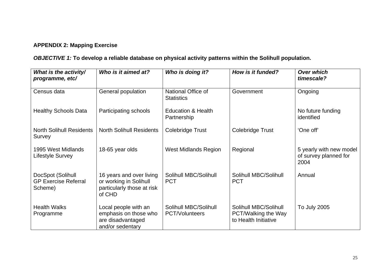# **APPENDIX 2: Mapping Exercise**

# *OBJECTIVE 1:* **To develop a reliable database on physical activity patterns within the Solihull population.**

| What is the activity/<br>programme, etc/                    | Who is it aimed at?                                                                        | Who is doing it?                               | How is it funded?                                                    | <b>Over which</b><br>timescale?                          |
|-------------------------------------------------------------|--------------------------------------------------------------------------------------------|------------------------------------------------|----------------------------------------------------------------------|----------------------------------------------------------|
| Census data                                                 | General population                                                                         | National Office of<br><b>Statistics</b>        | Government                                                           | Ongoing                                                  |
| <b>Healthy Schools Data</b>                                 | Participating schools                                                                      | <b>Education &amp; Health</b><br>Partnership   |                                                                      | No future funding<br>identified                          |
| <b>North Solihull Residents</b><br>Survey                   | <b>North Solihull Residents</b>                                                            | Colebridge Trust                               | Colebridge Trust                                                     | 'One off'                                                |
| 1995 West Midlands<br>Lifestyle Survey                      | 18-65 year olds                                                                            | <b>West Midlands Region</b>                    | Regional                                                             | 5 yearly with new model<br>of survey planned for<br>2004 |
| DocSpot (Solihull<br><b>GP Exercise Referral</b><br>Scheme) | 16 years and over living<br>or working in Solihull<br>particularly those at risk<br>of CHD | Solihull MBC/Solihull<br><b>PCT</b>            | Solihull MBC/Solihull<br><b>PCT</b>                                  | Annual                                                   |
| <b>Health Walks</b><br>Programme                            | Local people with an<br>emphasis on those who<br>are disadvantaged<br>and/or sedentary     | Solihull MBC/Solihull<br><b>PCT/Volunteers</b> | Solihull MBC/Solihull<br>PCT/Walking the Way<br>to Health Initiative | <b>To July 2005</b>                                      |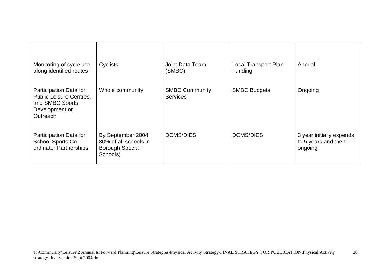| Monitoring of cycle use<br>along identified routes                                                        | Cyclists                                                                         | Joint Data Team<br>(SMBC)                | <b>Local Transport Plan</b><br>Funding | Annual                                                     |
|-----------------------------------------------------------------------------------------------------------|----------------------------------------------------------------------------------|------------------------------------------|----------------------------------------|------------------------------------------------------------|
| Participation Data for<br><b>Public Leisure Centres,</b><br>and SMBC Sports<br>Development or<br>Outreach | Whole community                                                                  | <b>SMBC Community</b><br><b>Services</b> | <b>SMBC Budgets</b>                    | Ongoing                                                    |
| Participation Data for<br>School Sports Co-<br>ordinator Partnerships                                     | By September 2004<br>80% of all schools in<br><b>Borough Special</b><br>Schools) | <b>DCMS/DfES</b>                         | <b>DCMS/DfES</b>                       | 3 year initially expends<br>to 5 years and then<br>ongoing |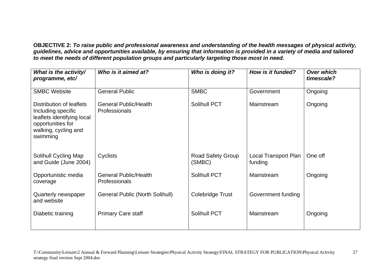**OBJECTIVE 2:** *To raise public and professional awareness and understanding of the health messages of physical activity, guidelines, advice and opportunities available, by ensuring that information is provided in a variety of media and tailored to meet the needs of different population groups and particularly targeting those most in need.*

| What is the activity/<br>programme, etc/                                                                                              | Who is it aimed at?                           | Who is doing it?            | How is it funded?               | <b>Over which</b><br>timescale? |
|---------------------------------------------------------------------------------------------------------------------------------------|-----------------------------------------------|-----------------------------|---------------------------------|---------------------------------|
| <b>SMBC Website</b>                                                                                                                   | <b>General Public</b>                         | <b>SMBC</b>                 | Government                      | Ongoing                         |
| Distribution of leaflets<br>Including specific<br>leaflets identifying local<br>opportunities for<br>walking, cycling and<br>swimming | <b>General Public/Health</b><br>Professionals | Solihull PCT                | Mainstream                      | Ongoing                         |
| Solihull Cycling Map<br>and Guide (June 2004)                                                                                         | Cyclists                                      | Road Safety Group<br>(SMBC) | Local Transport Plan<br>funding | One off                         |
| Opportunistic media<br>coverage                                                                                                       | <b>General Public/Health</b><br>Professionals | Solihull PCT                | Mainstream                      | Ongoing                         |
| Quarterly newspaper<br>and website                                                                                                    | <b>General Public (North Solihull)</b>        | Colebridge Trust            | Government funding              |                                 |
| Diabetic training                                                                                                                     | <b>Primary Care staff</b>                     | Solihull PCT                | Mainstream                      | Ongoing                         |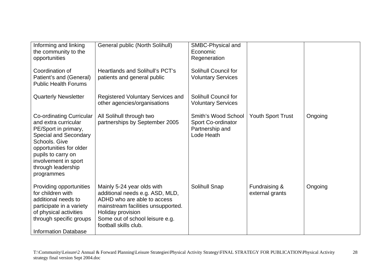| Informing and linking<br>the community to the<br>opportunities                                                                                                                                                                         | General public (North Solihull)                                                                                                                                                                                     | SMBC-Physical and<br>Economic<br>Regeneration                              |                                  |         |
|----------------------------------------------------------------------------------------------------------------------------------------------------------------------------------------------------------------------------------------|---------------------------------------------------------------------------------------------------------------------------------------------------------------------------------------------------------------------|----------------------------------------------------------------------------|----------------------------------|---------|
| Coordination of<br>Patient's and (General)<br><b>Public Health Forums</b>                                                                                                                                                              | <b>Heartlands and Solihull's PCT's</b><br>patients and general public                                                                                                                                               | Solihull Council for<br><b>Voluntary Services</b>                          |                                  |         |
| <b>Quarterly Newsletter</b>                                                                                                                                                                                                            | <b>Registered Voluntary Services and</b><br>other agencies/organisations                                                                                                                                            | Solihull Council for<br><b>Voluntary Services</b>                          |                                  |         |
| Co-ordinating Curricular<br>and extra curricular<br>PE/Sport in primary,<br><b>Special and Secondary</b><br>Schools. Give<br>opportunities for older<br>pupils to carry on<br>involvement in sport<br>through leadership<br>programmes | All Solihull through two<br>partnerships by September 2005                                                                                                                                                          | Smith's Wood School<br>Sport Co-ordinator<br>Partnership and<br>Lode Heath | <b>Youth Sport Trust</b>         | Ongoing |
| Providing opportunities<br>for children with<br>additional needs to<br>participate in a variety<br>of physical activities<br>through specific groups<br><b>Information Database</b>                                                    | Mainly 5-24 year olds with<br>additional needs e.g. ASD, MLD,<br>ADHD who are able to access<br>mainstream facilities unsupported.<br>Holiday provision<br>Some out of school leisure e.g.<br>football skills club. | Solihull Snap                                                              | Fundraising &<br>external grants | Ongoing |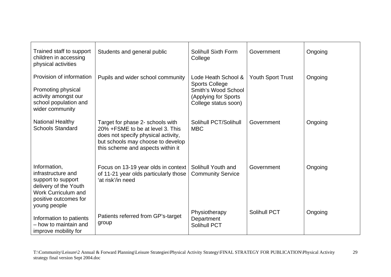| Trained staff to support<br>children in accessing<br>physical activities                                                                                 | Students and general public                                                                                                                                                            | <b>Solihull Sixth Form</b><br>College                                                                               | Government               | Ongoing |
|----------------------------------------------------------------------------------------------------------------------------------------------------------|----------------------------------------------------------------------------------------------------------------------------------------------------------------------------------------|---------------------------------------------------------------------------------------------------------------------|--------------------------|---------|
| Provision of information<br>Promoting physical<br>activity amongst our<br>school population and<br>wider community                                       | Pupils and wider school community                                                                                                                                                      | Lode Heath School &<br><b>Sports College</b><br>Smith's Wood School<br>(Applying for Sports<br>College status soon) | <b>Youth Sport Trust</b> | Ongoing |
| <b>National Healthy</b><br><b>Schools Standard</b>                                                                                                       | Target for phase 2- schools with<br>20% + FSME to be at level 3. This<br>does not specify physical activity,<br>but schools may choose to develop<br>this scheme and aspects within it | Solihull PCT/Solihull<br><b>MBC</b>                                                                                 | Government               | Ongoing |
| Information,<br>infrastructure and<br>support to support<br>delivery of the Youth<br><b>Work Curriculum and</b><br>positive outcomes for<br>young people | Focus on 13-19 year olds in context<br>of 11-21 year olds particularly those<br>'at risk'/in need                                                                                      | Solihull Youth and<br><b>Community Service</b>                                                                      | Government               | Ongoing |
| Information to patients<br>- how to maintain and<br>improve mobility for                                                                                 | Patients referred from GP's-target<br>group                                                                                                                                            | Physiotherapy<br>Department<br><b>Solihull PCT</b>                                                                  | <b>Solihull PCT</b>      | Ongoing |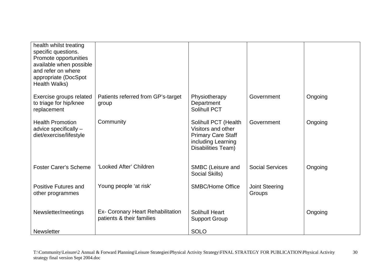| health whilst treating<br>specific questions.<br>Promote opportunities<br>available when possible<br>and refer on where<br>appropriate (DocSpot<br>Health Walks) |                                                                |                                                                                                                     |                                 |         |
|------------------------------------------------------------------------------------------------------------------------------------------------------------------|----------------------------------------------------------------|---------------------------------------------------------------------------------------------------------------------|---------------------------------|---------|
| Exercise groups related<br>to triage for hip/knee<br>replacement                                                                                                 | Patients referred from GP's-target<br>group                    | Physiotherapy<br>Department<br><b>Solihull PCT</b>                                                                  | Government                      | Ongoing |
| <b>Health Promotion</b><br>advice specifically -<br>diet/exercise/lifestyle                                                                                      | Community                                                      | Solihull PCT (Health<br>Visitors and other<br><b>Primary Care Staff</b><br>including Learning<br>Disabilities Team) | Government                      | Ongoing |
| <b>Foster Carer's Scheme</b>                                                                                                                                     | 'Looked After' Children                                        | SMBC (Leisure and<br>Social Skills)                                                                                 | <b>Social Services</b>          | Ongoing |
| Positive Futures and<br>other programmes                                                                                                                         | Young people 'at risk'                                         | <b>SMBC/Home Office</b>                                                                                             | <b>Joint Steering</b><br>Groups |         |
| Newsletter/meetings                                                                                                                                              | Ex- Coronary Heart Rehabilitation<br>patients & their families | <b>Solihull Heart</b><br><b>Support Group</b>                                                                       |                                 | Ongoing |
| <b>Newsletter</b>                                                                                                                                                |                                                                | <b>SOLO</b>                                                                                                         |                                 |         |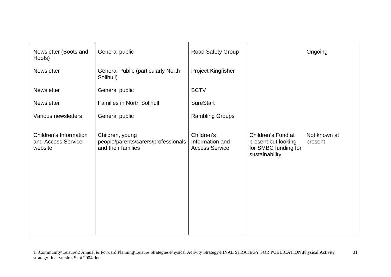| Newsletter (Boots and<br>Hoofs)                         | General public                                                               | Road Safety Group                                      |                                                                                     | Ongoing                 |
|---------------------------------------------------------|------------------------------------------------------------------------------|--------------------------------------------------------|-------------------------------------------------------------------------------------|-------------------------|
| <b>Newsletter</b>                                       | <b>General Public (particularly North</b><br>Solihull)                       | Project Kingfisher                                     |                                                                                     |                         |
| Newsletter                                              | General public                                                               | <b>BCTV</b>                                            |                                                                                     |                         |
| <b>Newsletter</b>                                       | <b>Families in North Solihull</b>                                            | <b>SureStart</b>                                       |                                                                                     |                         |
| Various newsletters                                     | General public                                                               | <b>Rambling Groups</b>                                 |                                                                                     |                         |
| Children's Information<br>and Access Service<br>website | Children, young<br>people/parents/carers/professionals<br>and their families | Children's<br>Information and<br><b>Access Service</b> | Children's Fund at<br>present but looking<br>for SMBC funding for<br>sustainability | Not known at<br>present |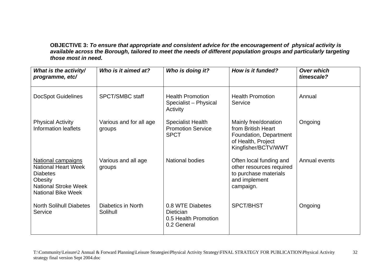**OBJECTIVE 3:** *To ensure that appropriate and consistent advice for the encouragement of physical activity is*  available across the Borough, tailored to meet the needs of different population groups and particularly targeting *those most in need.* 

| What is the activity/<br>programme, etc/                                                                                                   | Who is it aimed at?               | Who is doing it?                                                            | How is it funded?                                                                                                 | <b>Over which</b><br>timescale? |
|--------------------------------------------------------------------------------------------------------------------------------------------|-----------------------------------|-----------------------------------------------------------------------------|-------------------------------------------------------------------------------------------------------------------|---------------------------------|
| <b>DocSpot Guidelines</b>                                                                                                                  | <b>SPCT/SMBC staff</b>            | <b>Health Promotion</b><br>Specialist - Physical<br>Activity                | <b>Health Promotion</b><br>Service                                                                                | Annual                          |
| <b>Physical Activity</b><br>Information leaflets                                                                                           | Various and for all age<br>groups | <b>Specialist Health</b><br><b>Promotion Service</b><br><b>SPCT</b>         | Mainly free/donation<br>from British Heart<br>Foundation, Department<br>of Health, Project<br>Kingfisher/BCTV/WWT | Ongoing                         |
| National campaigns<br><b>National Heart Week</b><br><b>Diabetes</b><br>Obesity<br><b>National Stroke Week</b><br><b>National Bike Week</b> | Various and all age<br>groups     | <b>National bodies</b>                                                      | Often local funding and<br>other resources required<br>to purchase materials<br>and implement<br>campaign.        | Annual events                   |
| <b>North Solihull Diabetes</b><br>Service                                                                                                  | Diabetics in North<br>Solihull    | 0.8 WTE Diabetes<br><b>Dietician</b><br>0.5 Health Promotion<br>0.2 General | <b>SPCT/BHST</b>                                                                                                  | Ongoing                         |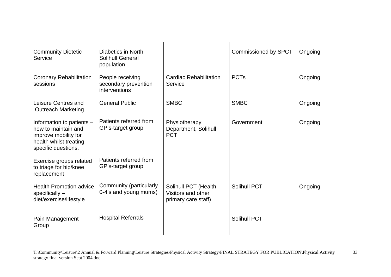| <b>Community Dietetic</b><br>Service                                                                                      | Diabetics in North<br><b>Solihull General</b><br>population |                                                                   | <b>Commissioned by SPCT</b> | Ongoing |
|---------------------------------------------------------------------------------------------------------------------------|-------------------------------------------------------------|-------------------------------------------------------------------|-----------------------------|---------|
| <b>Coronary Rehabilitation</b><br>sessions                                                                                | People receiving<br>secondary prevention<br>interventions   | <b>Cardiac Rehabilitation</b><br>Service                          | <b>PCTs</b>                 | Ongoing |
| Leisure Centres and<br><b>Outreach Marketing</b>                                                                          | <b>General Public</b>                                       | <b>SMBC</b>                                                       | <b>SMBC</b>                 | Ongoing |
| Information to patients -<br>how to maintain and<br>improve mobility for<br>health whilst treating<br>specific questions. | Patients referred from<br>GP's-target group                 | Physiotherapy<br>Department, Solihull<br><b>PCT</b>               | Government                  | Ongoing |
| Exercise groups related<br>to triage for hip/knee<br>replacement                                                          | Patients referred from<br>GP's-target group                 |                                                                   |                             |         |
| <b>Health Promotion advice</b><br>$specifically -$<br>diet/exercise/lifestyle                                             | Community (particularly<br>0-4's and young mums)            | Solihull PCT (Health<br>Visitors and other<br>primary care staff) | <b>Solihull PCT</b>         | Ongoing |
| Pain Management<br>Group                                                                                                  | <b>Hospital Referrals</b>                                   |                                                                   | <b>Solihull PCT</b>         |         |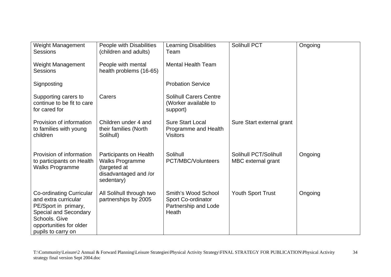| <b>Weight Management</b><br><b>Sessions</b>                                                                                                                                       | People with Disabilities<br>(children and adults)                                                       | <b>Learning Disabilities</b><br>Team                                       | Solihull PCT                                | Ongoing |
|-----------------------------------------------------------------------------------------------------------------------------------------------------------------------------------|---------------------------------------------------------------------------------------------------------|----------------------------------------------------------------------------|---------------------------------------------|---------|
| Weight Management<br><b>Sessions</b>                                                                                                                                              | People with mental<br>health problems (16-65)                                                           | <b>Mental Health Team</b>                                                  |                                             |         |
| Signposting                                                                                                                                                                       |                                                                                                         | <b>Probation Service</b>                                                   |                                             |         |
| Supporting carers to<br>continue to be fit to care<br>for cared for                                                                                                               | Carers                                                                                                  | <b>Solihull Carers Centre</b><br>(Worker available to<br>support)          |                                             |         |
| Provision of information<br>to families with young<br>children                                                                                                                    | Children under 4 and<br>their families (North<br>Solihull)                                              | <b>Sure Start Local</b><br>Programme and Health<br><b>Visitors</b>         | Sure Start external grant                   |         |
| Provision of information<br>to participants on Health<br><b>Walks Programme</b>                                                                                                   | Participants on Health<br><b>Walks Programme</b><br>(targeted at<br>disadvantaged and /or<br>sedentary) | Solihull<br><b>PCT/MBC/Volunteers</b>                                      | Solihull PCT/Solihull<br>MBC external grant | Ongoing |
| <b>Co-ordinating Curricular</b><br>and extra curricular<br>PE/Sport in primary,<br><b>Special and Secondary</b><br>Schools. Give<br>opportunities for older<br>pupils to carry on | All Solihull through two<br>partnerships by 2005                                                        | Smith's Wood School<br>Sport Co-ordinator<br>Partnership and Lode<br>Heath | <b>Youth Sport Trust</b>                    | Ongoing |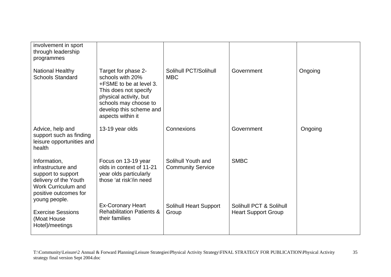| involvement in sport<br>through leadership<br>programmes                                                                                 |                                                                                                                                                                                                |                                                |                                                       |         |
|------------------------------------------------------------------------------------------------------------------------------------------|------------------------------------------------------------------------------------------------------------------------------------------------------------------------------------------------|------------------------------------------------|-------------------------------------------------------|---------|
| National Healthy<br><b>Schools Standard</b>                                                                                              | Target for phase 2-<br>schools with 20%<br>+FSME to be at level 3.<br>This does not specify<br>physical activity, but<br>schools may choose to<br>develop this scheme and<br>aspects within it | Solihull PCT/Solihull<br><b>MBC</b>            | Government                                            | Ongoing |
| Advice, help and<br>support such as finding<br>leisure opportunities and<br>health                                                       | 13-19 year olds                                                                                                                                                                                | Connexions                                     | Government                                            | Ongoing |
| Information,<br>infrastructure and<br>support to support<br>delivery of the Youth<br><b>Work Curriculum and</b><br>positive outcomes for | Focus on 13-19 year<br>olds in context of 11-21<br>year olds particularly<br>those 'at risk'/in need                                                                                           | Solihull Youth and<br><b>Community Service</b> | <b>SMBC</b>                                           |         |
| young people.<br><b>Exercise Sessions</b><br>(Moat House<br>Hotel)/meetings                                                              | <b>Ex-Coronary Heart</b><br><b>Rehabilitation Patients &amp;</b><br>their families                                                                                                             | <b>Solihull Heart Support</b><br>Group         | Solihull PCT & Solihull<br><b>Heart Support Group</b> |         |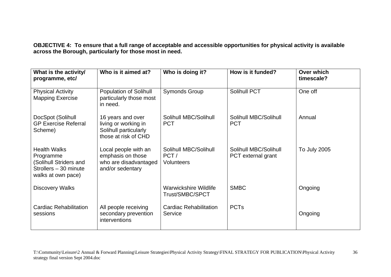**OBJECTIVE 4: To ensure that a full range of acceptable and accessible opportunities for physical activity is available across the Borough, particularly for those most in need.** 

| What is the activity/<br>programme, etc/                                                                  | Who is it aimed at?                                                                        | Who is doing it?                                   | How is it funded?                           | Over which<br>timescale? |
|-----------------------------------------------------------------------------------------------------------|--------------------------------------------------------------------------------------------|----------------------------------------------------|---------------------------------------------|--------------------------|
| <b>Physical Activity</b><br><b>Mapping Exercise</b>                                                       | Population of Solihull<br>particularly those most<br>in need.                              | <b>Symonds Group</b>                               | <b>Solihull PCT</b>                         | One off                  |
| DocSpot (Solihull<br><b>GP Exercise Referral</b><br>Scheme)                                               | 16 years and over<br>living or working in<br>Solihull particularly<br>those at risk of CHD | Solihull MBC/Solihull<br><b>PCT</b>                | Solihull MBC/Solihull<br><b>PCT</b>         | Annual                   |
| <b>Health Walks</b><br>Programme<br>(Solihull Striders and<br>Strollers - 30 minute<br>walks at own pace) | Local people with an<br>emphasis on those<br>who are disadvantaged<br>and/or sedentary     | Solihull MBC/Solihull<br>PCT/<br><b>Volunteers</b> | Solihull MBC/Solihull<br>PCT external grant | To July 2005             |
| <b>Discovery Walks</b>                                                                                    |                                                                                            | Warwickshire Wildlife<br><b>Trust/SMBC/SPCT</b>    | <b>SMBC</b>                                 | Ongoing                  |
| Cardiac Rehabilitation<br>sessions                                                                        | All people receiving<br>secondary prevention<br>interventions                              | <b>Cardiac Rehabilitation</b><br>Service           | <b>PCTs</b>                                 | Ongoing                  |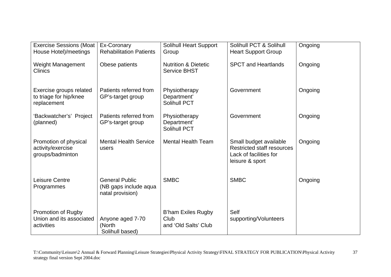| <b>Exercise Sessions (Moat</b><br>House Hotel)/meetings          | Ex-Coronary<br><b>Rehabilitation Patients</b>                      | <b>Solihull Heart Support</b><br>Group                 | Solihull PCT & Solihull<br><b>Heart Support Group</b>                                                    | Ongoing |
|------------------------------------------------------------------|--------------------------------------------------------------------|--------------------------------------------------------|----------------------------------------------------------------------------------------------------------|---------|
| Weight Management<br><b>Clinics</b>                              | Obese patients                                                     | <b>Nutrition &amp; Dietetic</b><br><b>Service BHST</b> | <b>SPCT and Heartlands</b>                                                                               | Ongoing |
| Exercise groups related<br>to triage for hip/knee<br>replacement | Patients referred from<br>GP's-target group                        | Physiotherapy<br>Department'<br>Solihull PCT           | Government                                                                                               | Ongoing |
| 'Backwatcher's' Project<br>(planned)                             | Patients referred from<br>GP's-target group                        | Physiotherapy<br>Department'<br>Solihull PCT           | Government                                                                                               | Ongoing |
| Promotion of physical<br>activity/exercise<br>groups/badminton   | <b>Mental Health Service</b><br>users                              | <b>Mental Health Team</b>                              | Small budget available<br><b>Restricted staff resources</b><br>Lack of facilities for<br>leisure & sport | Ongoing |
| Leisure Centre<br>Programmes                                     | <b>General Public</b><br>(NB gaps include aqua<br>natal provision) | <b>SMBC</b>                                            | <b>SMBC</b>                                                                                              | Ongoing |
| Promotion of Rugby<br>Union and its associated<br>activities     | Anyone aged 7-70<br>(North<br>Solihull based)                      | B'ham Exiles Rugby<br>Club<br>and 'Old Salts' Club     | Self<br>supporting/Volunteers                                                                            |         |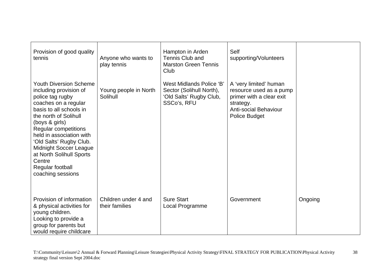| Provision of good quality<br>tennis                                                                                                                                                                                                                                                                                                                                      | Anyone who wants to<br>play tennis     | Hampton in Arden<br>Tennis Club and<br><b>Marston Green Tennis</b><br>Club                            | Self<br>supporting/Volunteers                                                                                                                      |         |
|--------------------------------------------------------------------------------------------------------------------------------------------------------------------------------------------------------------------------------------------------------------------------------------------------------------------------------------------------------------------------|----------------------------------------|-------------------------------------------------------------------------------------------------------|----------------------------------------------------------------------------------------------------------------------------------------------------|---------|
| <b>Youth Diversion Scheme</b><br>including provision of<br>police tag rugby<br>coaches on a regular<br>basis to all schools in<br>the north of Solihull<br>(boys & girls)<br>Regular competitions<br>held in association with<br>'Old Salts' Rugby Club.<br><b>Midnight Soccer League</b><br>at North Solihull Sports<br>Centre<br>Regular football<br>coaching sessions | Young people in North<br>Solihull      | <b>West Midlands Police 'B'</b><br>Sector (Solihull North),<br>'Old Salts' Rugby Club,<br>SSCo's, RFU | A 'very limited' human<br>resource used as a pump<br>primer with a clear exit<br>strategy.<br><b>Anti-social Behaviour</b><br><b>Police Budget</b> |         |
| Provision of information<br>& physical activities for<br>young children.<br>Looking to provide a<br>group for parents but<br>would require childcare                                                                                                                                                                                                                     | Children under 4 and<br>their families | <b>Sure Start</b><br>Local Programme                                                                  | Government                                                                                                                                         | Ongoing |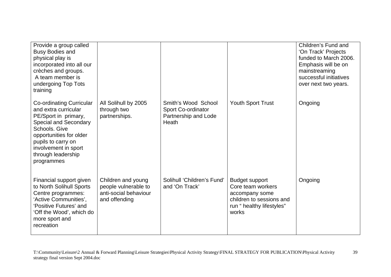| Provide a group called<br><b>Busy Bodies and</b><br>physical play is<br>incorporated into all our<br>crèches and groups.<br>A team member is<br>undergoing Top Tots<br>training                                                        |                                                                                      |                                                                            |                                                                                                                               | Children's Fund and<br>'On Track' Projects<br>funded to March 2006.<br>Emphasis will be on<br>mainstreaming<br>successful initiatives<br>over next two years. |
|----------------------------------------------------------------------------------------------------------------------------------------------------------------------------------------------------------------------------------------|--------------------------------------------------------------------------------------|----------------------------------------------------------------------------|-------------------------------------------------------------------------------------------------------------------------------|---------------------------------------------------------------------------------------------------------------------------------------------------------------|
| <b>Co-ordinating Curricular</b><br>and extra curricular<br>PE/Sport in primary,<br>Special and Secondary<br>Schools, Give<br>opportunities for older<br>pupils to carry on<br>involvement in sport<br>through leadership<br>programmes | All Solihull by 2005<br>through two<br>partnerships.                                 | Smith's Wood School<br>Sport Co-ordinator<br>Partnership and Lode<br>Heath | <b>Youth Sport Trust</b>                                                                                                      | Ongoing                                                                                                                                                       |
| Financial support given<br>to North Solihull Sports<br>Centre programmes:<br>'Active Communities',<br>'Positive Futures' and<br>'Off the Wood', which do<br>more sport and<br>recreation                                               | Children and young<br>people vulnerable to<br>anti-social behaviour<br>and offending | Solihull 'Children's Fund'<br>and 'On Track'                               | <b>Budget support</b><br>Core team workers<br>accompany some<br>children to sessions and<br>run "healthy lifestyles"<br>works | Ongoing                                                                                                                                                       |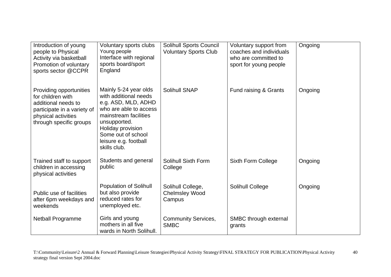| Introduction of young<br>people to Physical<br>Activity via basketball<br>Promotion of voluntary<br>sports sector @CCPR                              | Voluntary sports clubs<br>Young people<br>Interface with regional<br>sports board/sport<br>England                                                                                                                           | <b>Solihull Sports Council</b><br><b>Voluntary Sports Club</b> | Voluntary support from<br>coaches and individuals<br>who are committed to<br>sport for young people | Ongoing |
|------------------------------------------------------------------------------------------------------------------------------------------------------|------------------------------------------------------------------------------------------------------------------------------------------------------------------------------------------------------------------------------|----------------------------------------------------------------|-----------------------------------------------------------------------------------------------------|---------|
| Providing opportunities<br>for children with<br>additional needs to<br>participate in a variety of<br>physical activities<br>through specific groups | Mainly 5-24 year olds<br>with additional needs<br>e.g. ASD, MLD, ADHD<br>who are able to access<br>mainstream facilities<br>unsupported.<br>Holiday provision<br>Some out of school<br>leisure e.g. football<br>skills club. | Solihull SNAP                                                  | Fund raising & Grants                                                                               | Ongoing |
| Trained staff to support<br>children in accessing<br>physical activities                                                                             | Students and general<br>public                                                                                                                                                                                               | Solihull Sixth Form<br>College                                 | Sixth Form College                                                                                  | Ongoing |
| Public use of facilities<br>after 6pm weekdays and<br>weekends                                                                                       | <b>Population of Solihull</b><br>but also provide<br>reduced rates for<br>unemployed etc.                                                                                                                                    | Solihull College,<br><b>Chelmsley Wood</b><br>Campus           | Solihull College                                                                                    | Ongoing |
| <b>Netball Programme</b>                                                                                                                             | Girls and young<br>mothers in all five<br>wards in North Solihull.                                                                                                                                                           | <b>Community Services,</b><br><b>SMBC</b>                      | SMBC through external<br>grants                                                                     |         |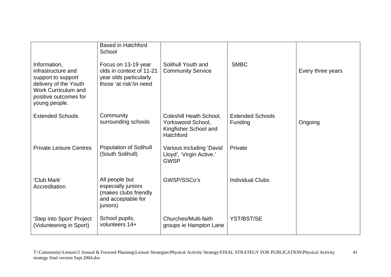|                                                                                                                                                    | <b>Based in Hatchford</b><br>School                                                                  |                                                                                    |                                    |                   |
|----------------------------------------------------------------------------------------------------------------------------------------------------|------------------------------------------------------------------------------------------------------|------------------------------------------------------------------------------------|------------------------------------|-------------------|
| Information,<br>infrastructure and<br>support to support<br>delivery of the Youth<br>Work Curriculum and<br>positive outcomes for<br>young people. | Focus on 13-19 year<br>olds in context of 11-21<br>year olds particularly<br>those 'at risk'/in need | Solihull Youth and<br><b>Community Service</b>                                     | <b>SMBC</b>                        | Every three years |
| <b>Extended Schools</b>                                                                                                                            | Community<br>surrounding schools                                                                     | Coleshill Heath School,<br>Yorkswood School,<br>Kingfisher School and<br>Hatchford | <b>Extended Schools</b><br>Funding | Ongoing           |
| <b>Private Leisure Centres</b>                                                                                                                     | <b>Population of Solihull</b><br>(South Solihull)                                                    | Various including 'David<br>Lloyd', 'Virgin Active.'<br><b>GWSP</b>                | Private                            |                   |
| 'Club Mark'<br>Accreditation                                                                                                                       | All people but<br>especially juniors<br>(makes clubs friendly<br>and acceptable for<br>juniors)      | GWSP/SSCo's                                                                        | <b>Individual Clubs</b>            |                   |
| 'Step into Sport' Project<br>(Volunteering in Sport)                                                                                               | School pupils,<br>volunteers 14+                                                                     | Churches/Multi-faith<br>groups ie Hampton Lane                                     | YST/BST/SE                         |                   |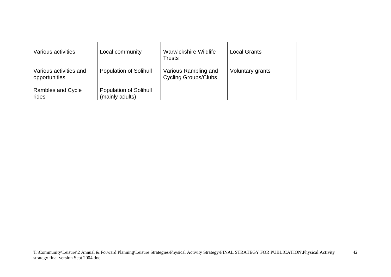| Various activities                      | Local community                                  | Warwickshire Wildlife<br><b>Trusts</b>              | <b>Local Grants</b> |  |
|-----------------------------------------|--------------------------------------------------|-----------------------------------------------------|---------------------|--|
| Various activities and<br>opportunities | <b>Population of Solihull</b>                    | Various Rambling and<br><b>Cycling Groups/Clubs</b> | Voluntary grants    |  |
| Rambles and Cycle<br>rides              | <b>Population of Solihull</b><br>(mainly adults) |                                                     |                     |  |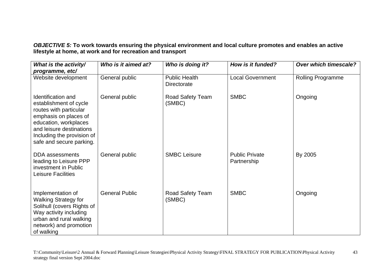*OBJECTIVE 5:* **To work towards ensuring the physical environment and local culture promotes and enables an active lifestyle at home, at work and for recreation and transport** 

| What is the activity/                                                                                                                                                                                                 | Who is it aimed at?                                                | Who is doing it?                          | How is it funded?                    | Over which timescale?    |  |
|-----------------------------------------------------------------------------------------------------------------------------------------------------------------------------------------------------------------------|--------------------------------------------------------------------|-------------------------------------------|--------------------------------------|--------------------------|--|
| programme, etc/                                                                                                                                                                                                       |                                                                    |                                           |                                      |                          |  |
| Website development                                                                                                                                                                                                   | General public                                                     | <b>Public Health</b><br>Directorate       | <b>Local Government</b>              | <b>Rolling Programme</b> |  |
| <b>Identification and</b><br>establishment of cycle<br>routes with particular<br>emphasis on places of<br>education, workplaces<br>and leisure destinations<br>Including the provision of<br>safe and secure parking. | General public                                                     | <b>SMBC</b><br>Road Safety Team<br>(SMBC) |                                      | Ongoing                  |  |
| <b>DDA</b> assessments<br>leading to Leisure PPP<br>investment in Public<br><b>Leisure Facilities</b>                                                                                                                 | General public                                                     | <b>SMBC Leisure</b>                       | <b>Public Private</b><br>Partnership | By 2005                  |  |
| Implementation of<br><b>Walking Strategy for</b><br>Solihull (covers Rights of<br>Way activity including<br>urban and rural walking<br>network) and promotion<br>of walking                                           | <b>General Public</b><br><b>SMBC</b><br>Road Safety Team<br>(SMBC) |                                           |                                      | Ongoing                  |  |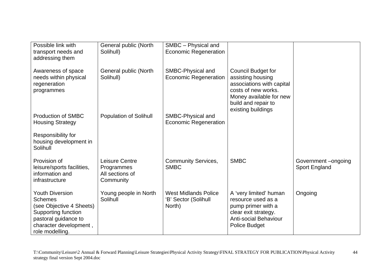| Possible link with<br>transport needs and<br>addressing them                                                                                                     | General public (North<br>Solihull)                           | SMBC - Physical and<br><b>Economic Regeneration</b>           |                                                                                                                                                                            |                                     |
|------------------------------------------------------------------------------------------------------------------------------------------------------------------|--------------------------------------------------------------|---------------------------------------------------------------|----------------------------------------------------------------------------------------------------------------------------------------------------------------------------|-------------------------------------|
| Awareness of space<br>needs within physical<br>regeneration<br>programmes                                                                                        | General public (North<br>Solihull)                           | SMBC-Physical and<br><b>Economic Regeneration</b>             | <b>Council Budget for</b><br>assisting housing<br>associations with capital<br>costs of new works.<br>Money available for new<br>build and repair to<br>existing buildings |                                     |
| <b>Production of SMBC</b><br><b>Housing Strategy</b>                                                                                                             | <b>Population of Solihull</b>                                | SMBC-Physical and<br><b>Economic Regeneration</b>             |                                                                                                                                                                            |                                     |
| Responsibility for<br>housing development in<br>Solihull                                                                                                         |                                                              |                                                               |                                                                                                                                                                            |                                     |
| Provision of<br>leisure/sports facilities,<br>information and<br>infrastructure                                                                                  | Leisure Centre<br>Programmes<br>All sections of<br>Community | <b>Community Services,</b><br><b>SMBC</b>                     | <b>SMBC</b>                                                                                                                                                                | Government-ongoing<br>Sport England |
| <b>Youth Diversion</b><br><b>Schemes</b><br>(see Objective 4 Sheets)<br>Supporting function<br>pastoral guidance to<br>character development,<br>role modelling. | Young people in North<br>Solihull                            | <b>West Midlands Police</b><br>'B' Sector (Solihull<br>North) | A 'very limited' human<br>resource used as a<br>pump primer with a<br>clear exit strategy.<br><b>Anti-social Behaviour</b><br><b>Police Budget</b>                         | Ongoing                             |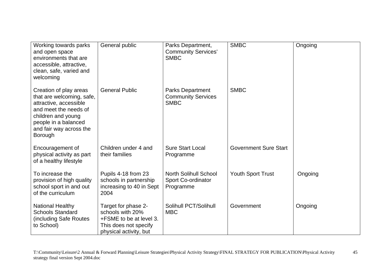| Working towards parks<br>and open space<br>environments that are<br>accessible, attractive,<br>clean, safe, varied and<br>welcoming                                                                                 | General public                                                                                                        | Parks Department,<br><b>Community Services'</b><br><b>SMBC</b>                     | <b>SMBC</b>                  | Ongoing |
|---------------------------------------------------------------------------------------------------------------------------------------------------------------------------------------------------------------------|-----------------------------------------------------------------------------------------------------------------------|------------------------------------------------------------------------------------|------------------------------|---------|
| <b>General Public</b><br>Creation of play areas<br>that are welcoming, safe,<br>attractive, accessible<br>and meet the needs of<br>children and young<br>people in a balanced<br>and fair way across the<br>Borough |                                                                                                                       | <b>SMBC</b><br><b>Parks Department</b><br><b>Community Services</b><br><b>SMBC</b> |                              |         |
| Encouragement of<br>physical activity as part<br>of a healthy lifestyle                                                                                                                                             | Children under 4 and<br>their families                                                                                | <b>Sure Start Local</b><br>Programme                                               | <b>Government Sure Start</b> |         |
| To increase the<br>provision of high quality<br>school sport in and out<br>of the curriculum                                                                                                                        | Pupils 4-18 from 23<br>schools in partnership<br>increasing to 40 in Sept<br>2004                                     | <b>North Solihull School</b><br>Sport Co-ordinator<br>Programme                    | <b>Youth Sport Trust</b>     | Ongoing |
| <b>National Healthy</b><br><b>Schools Standard</b><br>including Safe Routes)<br>to School)                                                                                                                          | Target for phase 2-<br>schools with 20%<br>+FSME to be at level 3.<br>This does not specify<br>physical activity, but | Solihull PCT/Solihull<br><b>MBC</b>                                                | Government                   | Ongoing |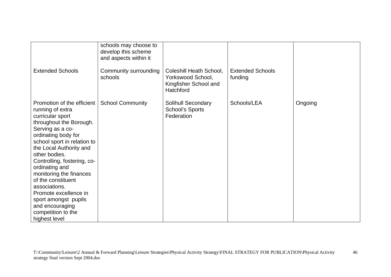|                                                                                                                                                                                                                                                                                                                                                                                                                                                   | schools may choose to<br>develop this scheme<br>and aspects within it |                                                                                    |                                    |         |
|---------------------------------------------------------------------------------------------------------------------------------------------------------------------------------------------------------------------------------------------------------------------------------------------------------------------------------------------------------------------------------------------------------------------------------------------------|-----------------------------------------------------------------------|------------------------------------------------------------------------------------|------------------------------------|---------|
| <b>Extended Schools</b>                                                                                                                                                                                                                                                                                                                                                                                                                           | Community surrounding<br>schools                                      | Coleshill Heath School,<br>Yorkswood School,<br>Kingfisher School and<br>Hatchford | <b>Extended Schools</b><br>funding |         |
| Promotion of the efficient<br>running of extra<br>curricular sport<br>throughout the Borough.<br>Serving as a co-<br>ordinating body for<br>school sport in relation to<br>the Local Authority and<br>other bodies.<br>Controlling, fostering, co-<br>ordinating and<br>monitoring the finances<br>of the constituent<br>associations.<br>Promote excellence in<br>sport amongst pupils<br>and encouraging<br>competition to the<br>highest level | <b>School Community</b>                                               | <b>Solihull Secondary</b><br><b>School's Sports</b><br>Federation                  | Schools/LEA                        | Ongoing |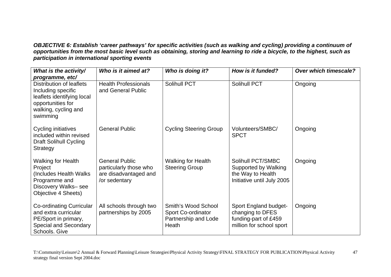*OBJECTIVE 6: Establish 'career pathways' for specific activities (such as walking and cycling) providing a continuum of opportunities from the most basic level such as obtaining, storing and learning to ride a bicycle, to the highest, such as participation in international sporting events*

| What is the activity/                                                                                                                                    | Who is it aimed at?                                                                       | Who is doing it?                                                           | How is it funded?                                                                             | <b>Over which timescale?</b> |
|----------------------------------------------------------------------------------------------------------------------------------------------------------|-------------------------------------------------------------------------------------------|----------------------------------------------------------------------------|-----------------------------------------------------------------------------------------------|------------------------------|
| programme, etc/<br>Distribution of leaflets<br>Including specific<br>leaflets identifying local<br>opportunities for<br>walking, cycling and<br>swimming | <b>Health Professionals</b><br>and General Public                                         | Solihull PCT                                                               | <b>Solihull PCT</b>                                                                           |                              |
| Cycling initiatives<br>included within revised<br><b>Draft Solihull Cycling</b><br>Strategy                                                              | <b>General Public</b>                                                                     | <b>Cycling Steering Group</b>                                              | Volunteers/SMBC/<br><b>SPCT</b>                                                               | Ongoing                      |
| <b>Walking for Health</b><br>Project<br>Includes Health Walks<br>Programme and<br>Discovery Walks-see<br>Objective 4 Sheets)                             | <b>General Public</b><br>particularly those who<br>are disadvantaged and<br>/or sedentary | <b>Walking for Health</b><br><b>Steering Group</b>                         | Solihull PCT/SMBC<br>Supported by Walking<br>the Way to Health<br>Initiative until July 2005  |                              |
| <b>Co-ordinating Curricular</b><br>and extra curricular<br>PE/Sport in primary,<br>Special and Secondary<br>Schools. Give                                | All schools through two<br>partnerships by 2005                                           | Smith's Wood School<br>Sport Co-ordinator<br>Partnership and Lode<br>Heath | Sport England budget-<br>changing to DFES<br>funding-part of £459<br>million for school sport | Ongoing                      |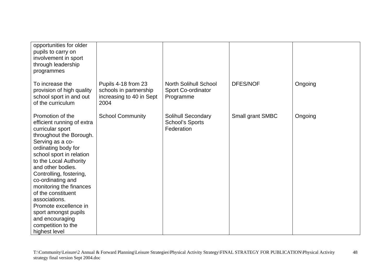| opportunities for older<br>pupils to carry on<br>involvement in sport<br>through leadership<br>programmes                                                                                                                                                                                                                                                                                                                                        |                                                                                   |                                                                   |                  |         |
|--------------------------------------------------------------------------------------------------------------------------------------------------------------------------------------------------------------------------------------------------------------------------------------------------------------------------------------------------------------------------------------------------------------------------------------------------|-----------------------------------------------------------------------------------|-------------------------------------------------------------------|------------------|---------|
| To increase the<br>provision of high quality<br>school sport in and out<br>of the curriculum                                                                                                                                                                                                                                                                                                                                                     | Pupils 4-18 from 23<br>schools in partnership<br>increasing to 40 in Sept<br>2004 | <b>North Solihull School</b><br>Sport Co-ordinator<br>Programme   | <b>DFES/NOF</b>  | Ongoing |
| Promotion of the<br>efficient running of extra<br>curricular sport<br>throughout the Borough.<br>Serving as a co-<br>ordinating body for<br>school sport in relation<br>to the Local Authority<br>and other bodies.<br>Controlling, fostering,<br>co-ordinating and<br>monitoring the finances<br>of the constituent<br>associations.<br>Promote excellence in<br>sport amongst pupils<br>and encouraging<br>competition to the<br>highest level | <b>School Community</b>                                                           | <b>Solihull Secondary</b><br><b>School's Sports</b><br>Federation | Small grant SMBC | Ongoing |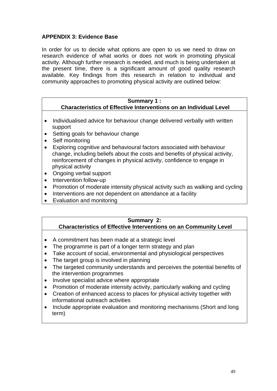## **APPENDIX 3: Evidence Base**

In order for us to decide what options are open to us we need to draw on research evidence of what works or does not work in promoting physical activity. Although further research is needed, and much is being undertaken at the present time, there is a significant amount of good quality research available. Key findings from this research in relation to individual and community approaches to promoting physical activity are outlined below:

#### **Summary 1 : Characteristics of Effective Interventions on an Individual Level**

- Individualised advice for behaviour change delivered verbally with written support
- Setting goals for behaviour change
- Self monitoring
- Exploring cognitive and behavioural factors associated with behaviour change, including beliefs about the costs and benefits of physical activity, reinforcement of changes in physical activity, confidence to engage in physical activity
- Ongoing verbal support
- Intervention follow-up
- Promotion of moderate intensity physical activity such as walking and cycling
- Interventions are not dependent on attendance at a facility
- Evaluation and monitoring

## **Summary 2:**

 **Characteristics of Effective Interventions on an Community Level** 

- A commitment has been made at a strategic level
- The programme is part of a longer term strategy and plan
- Take account of social, environmental and physiological perspectives
- The target group is involved in planning
- The targeted community understands and perceives the potential benefits of the intervention programmes
- Involve specialist advice where appropriate
- Promotion of moderate intensity activity, particularly walking and cycling
- Creation of enhanced access to places for physical activity together with informational outreach activities
- Include appropriate evaluation and monitoring mechanisms (Short and long term)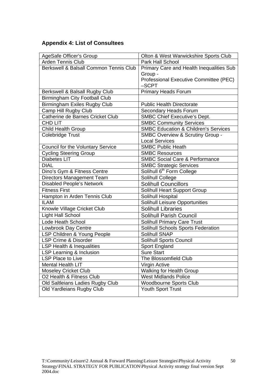# **Appendix 4: List of Consultees**

| AgeSafe Officer's Group                | Olton & West Warwickshire Sports Club           |
|----------------------------------------|-------------------------------------------------|
| Arden Tennis Club                      | Park Hall School                                |
| Berkswell & Balsall Common Tennis Club | Primary Care and Health Inequalities Sub        |
|                                        | Group -                                         |
|                                        | Professional Executive Committee (PEC)          |
|                                        | -SCPT                                           |
| Berkswell & Balsall Rugby Club         | <b>Primary Heads Forum</b>                      |
| Birmingham City Football Club          |                                                 |
| <b>Birmingham Exiles Rugby Club</b>    | <b>Public Health Directorate</b>                |
| Camp Hill Rugby Club                   | Secondary Heads Forum                           |
| Catherine de Barnes Cricket Club       | <b>SMBC Chief Executive's Dept.</b>             |
| CHD LIT                                | <b>SMBC Community Services</b>                  |
| Child Health Group                     | <b>SMBC Education &amp; Children's Services</b> |
| Colebridge Trust                       | <b>SMBC Overview &amp; Scrutiny Group -</b>     |
|                                        | <b>Local Services</b>                           |
| Council for the Voluntary Service      | <b>SMBC Public Heath</b>                        |
| <b>Cycling Steering Group</b>          | <b>SMBC Resources</b>                           |
| <b>Diabetes LIT</b>                    | <b>SMBC Social Care &amp; Performance</b>       |
| <b>DIAL</b>                            | <b>SMBC Strategic Services</b>                  |
| Dino's Gym & Fitness Centre            | Solihull 6 <sup>th</sup> Form College           |
| Directors Management Team              | Solihull College                                |
| <b>Disabled People's Network</b>       | <b>Solihull Councillors</b>                     |
| <b>Fitness First</b>                   | <b>Solihull Heart Support Group</b>             |
| Hampton in Arden Tennis Club           | Solihull Hospital                               |
| <b>ILAM</b>                            | <b>Solihull Leisure Opportunities</b>           |
| Knowle Village Cricket Club            | <b>Solihull Libraries</b>                       |
| <b>Light Hall School</b>               | <b>Solihull Parish Council</b>                  |
| Lode Heath School                      | <b>Solihull Primary Care Trust</b>              |
| Lowbrook Day Centre                    | Solihull Schools Sports Federation              |
| LSP Children & Young People            | Solihull SNAP                                   |
| LSP Crime & Disorder                   | <b>Solihull Sports Council</b>                  |
| LSP Health & Inequalities              | Sport England                                   |
| LSP Learning & Inclusion               | <b>Sure Start</b>                               |
| <b>LSP Place to Live</b>               | The Blossomfield Club                           |
| <b>Mental Health LIT</b>               | Virgin Active                                   |
| <b>Moseley Cricket Club</b>            | <b>Walking for Health Group</b>                 |
| O2 Health & Fitness Club               | <b>West Midlands Police</b>                     |
| Old Saltleians Ladies Rugby Club       | <b>Woodbourne Sports Club</b>                   |
| Old Yardleians Rugby Club              | <b>Youth Sport Trust</b>                        |
|                                        |                                                 |

50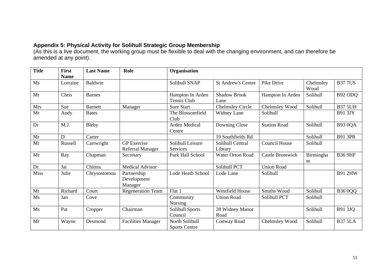#### **Appendix 5: Physical Activity for Solihull Strategic Group Membership**

(As this is a live document, the working group must be flexible to deal with the changing environment, and can therefore be amended at any point).

| <b>Title</b> | First<br><b>Name</b> | <b>Last Name</b> | Role                                          | Organisation                           |                             |                      |                   |                |
|--------------|----------------------|------------------|-----------------------------------------------|----------------------------------------|-----------------------------|----------------------|-------------------|----------------|
| Ms           | Lorraine             | <b>Baldwin</b>   |                                               | Solihull SNAP                          | <b>St Andrew's Centre</b>   | Pike Drive           | Chelmsley<br>Wood | <b>B377US</b>  |
| Mr           | Chris                | <b>Barnes</b>    |                                               | Hampton In Arden<br>Tennis Club        | <b>Shadow Brook</b><br>Lane | Hampton In Arden     | Solihull          | B92 ODQ        |
| <b>Mrs</b>   | Sue                  | <b>Barnett</b>   | Manager                                       | <b>Sure Start</b>                      | <b>Chelmsley Circle</b>     | Chelmsley Wood       | Solihull          | <b>B37 5UH</b> |
| Mr           | Andy                 | <b>Bates</b>     |                                               | The Blossomfield<br>Club               | Widney Lane                 | Solihull             |                   | <b>B91 3JY</b> |
| Dr           | M.J.                 | <b>Bleby</b>     |                                               | Arden Medical<br>Centre                | Downing Close               | <b>Station Road</b>  | Solihull          | <b>B93 0QA</b> |
| Mr           | D                    | Carter           |                                               |                                        | 19 Southfields Rd           |                      | Solihull          | <b>B91 3PR</b> |
| Mr           | Russell              | Cartwright       | <b>GP</b> Exercise<br><b>Referral Manager</b> | Solihull Leisure<br>Services           | Solihull Central<br>Library | <b>Council House</b> | Solihull          |                |
| Mr           | Ray                  | Chapman          | Secretary                                     | Park Hall School                       | <b>Water Orton Road</b>     | Castle Bromwich      | Birmingha<br>m    | <b>B36 9HF</b> |
| Dr.          | Jai                  | Chitnis          | <b>Medical Advisor</b>                        |                                        | Solihull PCT                | <b>Union Road</b>    |                   |                |
| <b>Miss</b>  | Julie                | Chrysostomou     | Partnership<br>Development<br>Manager         | Lode Heath School                      | Lode Lane                   | Solihull             |                   | <b>B91 2HW</b> |
| Mr           | Richard              | Court            | <b>Regeneration Team</b>                      | Flat 1                                 | <b>Westfield House</b>      | Smiths Wood          | Solihull          | <b>B36 0QQ</b> |
| Ms           | Jan                  | Cove             |                                               | Community<br><b>Nursing</b>            | <b>Union Road</b>           | Solihull PCT         | Solihull          |                |
| Ms           | Pat                  | Cropper          | Chairman                                      | Solihull Sports<br>Council             | 28 Widney Manor<br>Road     |                      | Solihull          | B91 3JQ        |
| Mr           | Wayne                | Desmond          | <b>Facilities Manager</b>                     | North Solihull<br><b>Sports Centre</b> | Conway Road                 | Chelmsley Wood       | Solihull          | <b>B37 5LA</b> |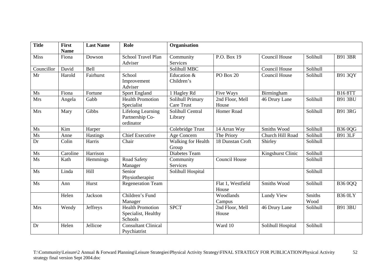| <b>Title</b> | <b>First</b>         | <b>Last Name</b> | Role                                                      | Organisation                          |                            |                      |                       |                |
|--------------|----------------------|------------------|-----------------------------------------------------------|---------------------------------------|----------------------------|----------------------|-----------------------|----------------|
| <b>Miss</b>  | <b>Name</b><br>Fiona | Dowson           | <b>School Travel Plan</b><br>Adviser                      | Community<br><b>Services</b>          | P.O. Box 19                | <b>Council House</b> | Solihull              | <b>B91 3BR</b> |
| Councillor   | David                | Bell             |                                                           | Solihull MBC                          |                            | Council House        | Solihull              |                |
| Mr           | Harold               | Fairhurst        | School<br>Improvement<br>Adviser                          | Education &<br>Children's             | PO Box 20                  | <b>Council House</b> | Solihull              | B91 3QY        |
| Ms           | Fiona                | Fortune          | <b>Sport England</b>                                      | 1 Hagley Rd                           | Five Ways                  | Birmingham           |                       | <b>B16 8TT</b> |
| <b>Mrs</b>   | Angela               | Gabb             | <b>Health Promotion</b><br>Specialist                     | Solihull Primary<br><b>Care Trust</b> | 2nd Floor, Mell<br>House   | 46 Drury Lane        | Solihull              | <b>B91 3BU</b> |
| <b>Mrs</b>   | Mary                 | Gibbs            | Lifelong Learning<br>Partnership Co-<br>ordinator         | Solihull Central<br>Library           | <b>Homer Road</b>          |                      | Solihull              | <b>B91 3RG</b> |
| Ms           | Kim                  | Harper           |                                                           | Colebridge Trust                      | 14 Arran Way               | Smiths Wood          | Solihull              | <b>B360QG</b>  |
| Ms           | Anne                 | <b>Hastings</b>  | <b>Chief Executive</b>                                    | Age Concern                           | The Priory                 | Church Hill Road     | Solihull              | <b>B91 3LF</b> |
| Dr           | Colin                | Harris           | Chair                                                     | Walking for Health<br>Group           | 18 Dunstan Croft           | Shirley              | Solihull              |                |
| Ms           | Caroline             | Harrison         |                                                           | Diabetes Team                         |                            | Kingshurst Clinic    | Solihull              |                |
| Ms           | Kath                 | Hemmings         | Road Safety<br>Manager                                    | Community<br><b>Services</b>          | <b>Council House</b>       |                      | Solihull              |                |
| Ms           | Linda                | Hill             | Senior<br>Physiotherapist                                 | Solihull Hospital                     |                            |                      | Solihull              |                |
| Ms           | Ann                  | Hurst            | <b>Regeneration Team</b>                                  |                                       | Flat 1, Westfield<br>House | Smiths Wood          | Solihull              | <b>B36 0QQ</b> |
|              | Helen                | Jackson          | Children's Fund<br>Manager                                |                                       | Woodlands<br>Campus        | Lundy View           | <b>Smiths</b><br>Wood | <b>B36 0LY</b> |
| <b>Mrs</b>   | Wendy                | Jeffreys         | <b>Health Promotion</b><br>Specialist, Healthy<br>Schools | <b>SPCT</b>                           | 2nd Floor, Mell<br>House   | 46 Drury Lane        | Solihull              | <b>B91 3BU</b> |
| Dr           | Helen                | Jellicoe         | <b>Consultant Clinical</b><br>Psychiatrist                |                                       | Ward 10                    | Solihull Hospital    | Solihull              |                |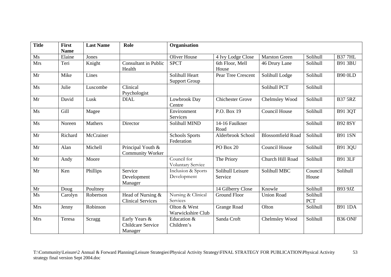| <b>Title</b> | <b>First</b><br><b>Name</b> | <b>Last Name</b> | Role                                                 | Organisation                            |                             |                          |                        |                |
|--------------|-----------------------------|------------------|------------------------------------------------------|-----------------------------------------|-----------------------------|--------------------------|------------------------|----------------|
| Ms           | Elaine                      | Jones            |                                                      | <b>Oliver House</b>                     | 4 Ivy Lodge Close           | <b>Marston Green</b>     | Solihull               | <b>B377HL</b>  |
| Mrs          | Teri                        | Knight           | <b>Consultant in Public</b><br>Health                | <b>SPCT</b>                             | 6th Floor, Mell<br>House    | 46 Drury Lane            | Solihull               | <b>B91 3BU</b> |
| Mr           | Mike                        | Lines            |                                                      | Solihull Heart<br><b>Support Group</b>  | Pear Tree Crescent          | Solihull Lodge           | Solihull               | <b>B90 OLD</b> |
| Ms           | Julie                       | Luscombe         | Clinical<br>Psychologist                             |                                         |                             | Solihull PCT             | Solihull               |                |
| Mr           | David                       | Lusk             | <b>DIAL</b>                                          | Lowbrook Day<br>Centre                  | <b>Chichester Grove</b>     | Chelmsley Wood           | Solihull               | <b>B37 5RZ</b> |
| Ms           | Gill                        | Magee            |                                                      | Environment<br>Services                 | P.O. Box 19                 | <b>Council House</b>     | Solihull               | <b>B91 3QT</b> |
| Ms           | Noreen                      | Mathers          | Director                                             | Solihull MIND                           | 14-16 Faulkner<br>Road      |                          | Solihull               | <b>B92 8SY</b> |
| Mr           | Richard                     | McCrainer        |                                                      | <b>Schools Sports</b><br>Federation     | Alderbrook School           | <b>Blossomfield Road</b> | Solihull               | <b>B91 1SN</b> |
| Mr           | Alan                        | Michell          | Principal Youth &<br><b>Community Worker</b>         |                                         | PO Box 20                   | <b>Council House</b>     | Solihull               | <b>B91 3QU</b> |
| Mr           | Andy                        | Moore            |                                                      | Council for<br><b>Voluntary Service</b> | The Priory                  | Church Hill Road         | Solihull               | <b>B91 3LF</b> |
| Mr           | Ken                         | Phillips         | Service<br>Development<br>Manager                    | Inclusion & Sports<br>Development       | Solihull Leisure<br>Service | Solihull MBC             | Council<br>House       | Solihull       |
| Mr           | Doug                        | Poultney         |                                                      |                                         | 14 Gilberry Close           | Knowle                   | Solihull               | <b>B93 9JZ</b> |
| Ms           | Carolyn                     | Robertson        | Head of Nursing &<br><b>Clinical Services</b>        | Nursing & Clinical<br>Services          | <b>Ground Floor</b>         | <b>Union Road</b>        | Solihull<br><b>PCT</b> |                |
| Mrs          | Jenny                       | Robinson         |                                                      | Olton & West<br>Warwickshire Club       | <b>Grange Road</b>          | Olton                    | Solihull               | <b>B91 1DA</b> |
| <b>Mrs</b>   | Teresa                      | Scragg           | Early Years &<br><b>Childcare Service</b><br>Manager | Education &<br>Children's               | Sanda Croft                 | Chelmsley Wood           | Solihull               | B36 ONF        |